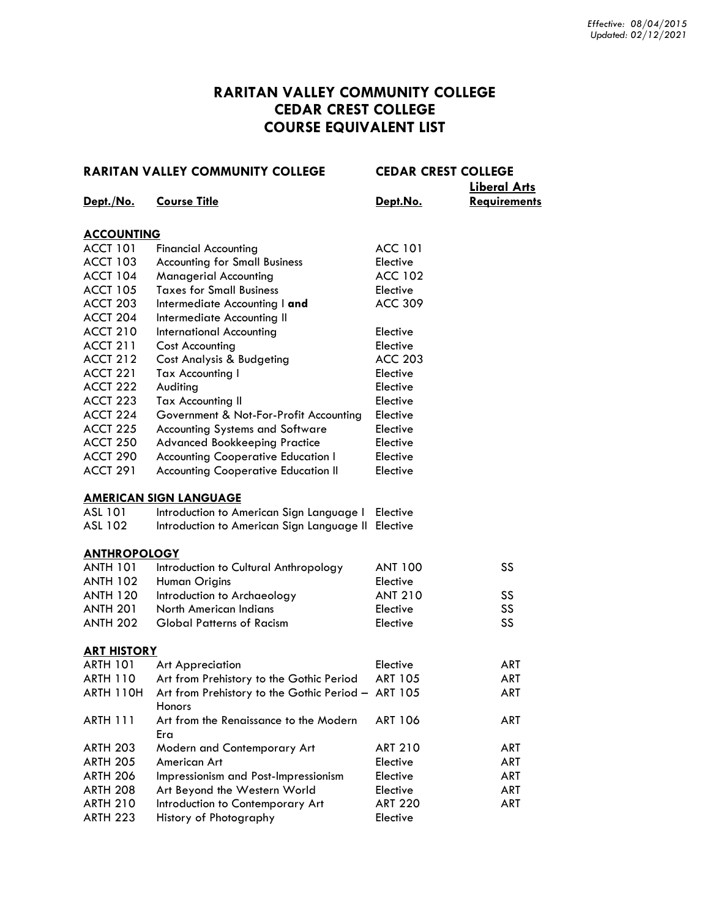### **RARITAN VALLEY COMMUNITY COLLEGE CEDAR CREST COLLEGE COURSE EQUIVALENT LIST**

|                     | <b>RARITAN VALLEY COMMUNITY COLLEGE</b>                             | <b>CEDAR CREST COLLEGE</b> | <b>Liberal Arts</b> |
|---------------------|---------------------------------------------------------------------|----------------------------|---------------------|
| Dept./No.           | <b>Course Title</b>                                                 | Dept.No.                   | <b>Requirements</b> |
| <b>ACCOUNTING</b>   |                                                                     |                            |                     |
| <b>ACCT 101</b>     | <b>Financial Accounting</b>                                         | <b>ACC 101</b>             |                     |
| <b>ACCT 103</b>     | <b>Accounting for Small Business</b>                                | Elective                   |                     |
| <b>ACCT 104</b>     | <b>Managerial Accounting</b>                                        | <b>ACC 102</b>             |                     |
| <b>ACCT 105</b>     | <b>Taxes for Small Business</b>                                     | Elective                   |                     |
| ACCT 203            | Intermediate Accounting I and                                       | <b>ACC 309</b>             |                     |
| ACCT 204            | Intermediate Accounting II                                          |                            |                     |
| <b>ACCT 210</b>     | <b>International Accounting</b>                                     | Elective                   |                     |
| <b>ACCT 211</b>     | <b>Cost Accounting</b>                                              | Elective                   |                     |
| <b>ACCT 212</b>     | Cost Analysis & Budgeting                                           | <b>ACC 203</b>             |                     |
| <b>ACCT 221</b>     | Tax Accounting I                                                    | Elective                   |                     |
| ACCT 222            | Auditing                                                            | Elective                   |                     |
| ACCT 223            | <b>Tax Accounting II</b>                                            | Elective                   |                     |
| ACCT 224            | Government & Not-For-Profit Accounting                              | Elective                   |                     |
| ACCT 225            | <b>Accounting Systems and Software</b>                              | Elective                   |                     |
| <b>ACCT 250</b>     | <b>Advanced Bookkeeping Practice</b>                                | Elective                   |                     |
| ACCT 290            | <b>Accounting Cooperative Education I</b>                           | Elective                   |                     |
| <b>ACCT 291</b>     | <b>Accounting Cooperative Education II</b>                          | Elective                   |                     |
|                     | <b>AMERICAN SIGN LANGUAGE</b>                                       |                            |                     |
| ASL 101             | Introduction to American Sign Language I Elective                   |                            |                     |
| ASL 102             | Introduction to American Sign Language II Elective                  |                            |                     |
| <b>ANTHROPOLOGY</b> |                                                                     |                            |                     |
| <b>ANTH 101</b>     | Introduction to Cultural Anthropology                               | <b>ANT 100</b>             | SS                  |
| <b>ANTH 102</b>     | Human Origins                                                       | Elective                   |                     |
| <b>ANTH 120</b>     | Introduction to Archaeology                                         | <b>ANT 210</b>             | SS                  |
| <b>ANTH 201</b>     | North American Indians                                              | Elective                   | SS                  |
| <b>ANTH 202</b>     | <b>Global Patterns of Racism</b>                                    | Elective                   | SS                  |
| <b>ART HISTORY</b>  |                                                                     |                            |                     |
| ARTH 101            | <b>Art Appreciation</b>                                             | Elective                   | <b>ART</b>          |
| <b>ARTH 110</b>     | Art from Prehistory to the Gothic Period                            | <b>ART 105</b>             | <b>ART</b>          |
| <b>ARTH 110H</b>    | Art from Prehistory to the Gothic Period - ART 105<br><b>Honors</b> |                            | ART                 |
| <b>ARTH 111</b>     | Art from the Renaissance to the Modern<br>Era                       | <b>ART 106</b>             | ART                 |
| <b>ARTH 203</b>     | Modern and Contemporary Art                                         | <b>ART 210</b>             | ART                 |
| <b>ARTH 205</b>     | American Art                                                        | Elective                   | <b>ART</b>          |
| <b>ARTH 206</b>     | Impressionism and Post-Impressionism                                | Elective                   | <b>ART</b>          |
| <b>ARTH 208</b>     | Art Beyond the Western World                                        | Elective                   | <b>ART</b>          |
| <b>ARTH 210</b>     | Introduction to Contemporary Art                                    | <b>ART 220</b>             | ART                 |
| <b>ARTH 223</b>     | History of Photography                                              | Elective                   |                     |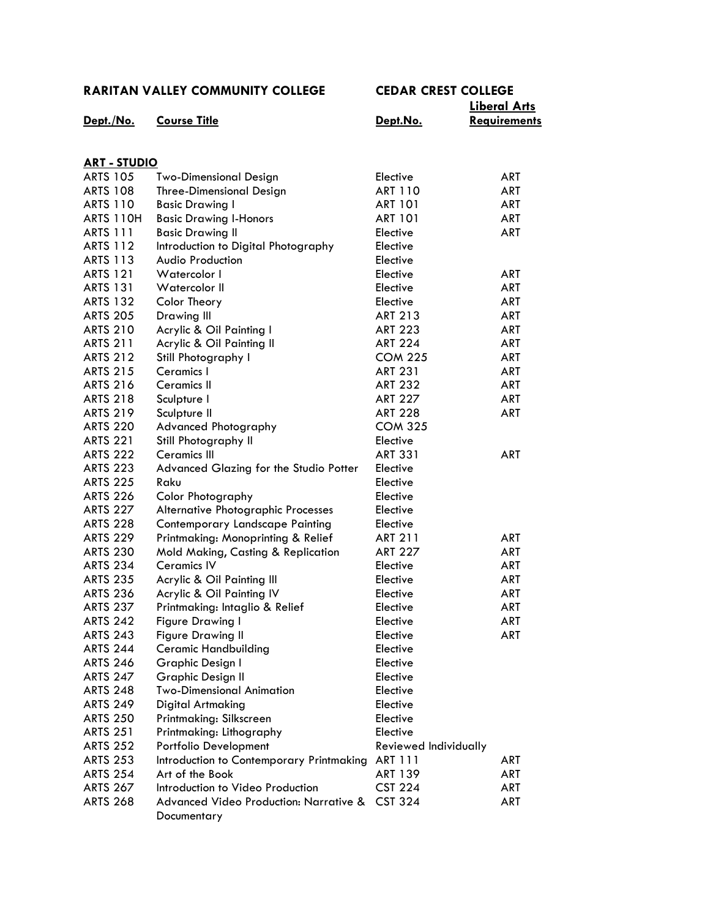|                      |                                                                  |                       | <b>Liberal Arts</b> |
|----------------------|------------------------------------------------------------------|-----------------------|---------------------|
| Dept./No.            | <b>Course Title</b>                                              | Dept.No.              | <b>Requirements</b> |
|                      |                                                                  |                       |                     |
| <u> ART - STUDIO</u> |                                                                  |                       |                     |
| <b>ARTS 105</b>      | <b>Two-Dimensional Design</b>                                    | Elective              | ART                 |
| <b>ARTS 108</b>      | <b>Three-Dimensional Design</b>                                  | <b>ART 110</b>        | ART                 |
| <b>ARTS 110</b>      | <b>Basic Drawing I</b>                                           | <b>ART 101</b>        | ART                 |
| <b>ARTS 110H</b>     | <b>Basic Drawing I-Honors</b>                                    | <b>ART 101</b>        | ART                 |
| <b>ARTS 111</b>      | <b>Basic Drawing II</b>                                          | Elective              | <b>ART</b>          |
| <b>ARTS 112</b>      | Introduction to Digital Photography                              | Elective              |                     |
| <b>ARTS 113</b>      | Audio Production                                                 | Elective              |                     |
| <b>ARTS 121</b>      | Watercolor I                                                     | Elective              | ART                 |
| <b>ARTS 131</b>      | Watercolor II                                                    | Elective              | ART                 |
| <b>ARTS 132</b>      | Color Theory                                                     | Elective              | ART                 |
| <b>ARTS 205</b>      | Drawing III                                                      | <b>ART 213</b>        | ART                 |
| <b>ARTS 210</b>      | Acrylic & Oil Painting I                                         | <b>ART 223</b>        | ART                 |
| <b>ARTS 211</b>      | Acrylic & Oil Painting II                                        | <b>ART 224</b>        | ART                 |
| <b>ARTS 212</b>      | Still Photography I                                              | <b>COM 225</b>        | ART                 |
| <b>ARTS 215</b>      | Ceramics I                                                       | <b>ART 231</b>        | ART                 |
| <b>ARTS 216</b>      | <b>Ceramics II</b>                                               | <b>ART 232</b>        | ART                 |
| <b>ARTS 218</b>      | Sculpture I                                                      | <b>ART 227</b>        | ART                 |
| <b>ARTS 219</b>      | Sculpture II                                                     | <b>ART 228</b>        | <b>ART</b>          |
| <b>ARTS 220</b>      | <b>Advanced Photography</b>                                      | <b>COM 325</b>        |                     |
| <b>ARTS 221</b>      | Still Photography II                                             | Elective              |                     |
| <b>ARTS 222</b>      | <b>Ceramics III</b>                                              | <b>ART 331</b>        | <b>ART</b>          |
| <b>ARTS 223</b>      | Advanced Glazing for the Studio Potter                           | Elective              |                     |
| <b>ARTS 225</b>      | Raku                                                             | Elective              |                     |
| <b>ARTS 226</b>      | <b>Color Photography</b>                                         | Elective              |                     |
| <b>ARTS 227</b>      | Alternative Photographic Processes                               | Elective              |                     |
| <b>ARTS 228</b>      | Contemporary Landscape Painting                                  | Elective              |                     |
| <b>ARTS 229</b>      | Printmaking: Monoprinting & Relief                               | <b>ART 211</b>        | ART                 |
| <b>ARTS 230</b>      | Mold Making, Casting & Replication                               | <b>ART 227</b>        | <b>ART</b>          |
| <b>ARTS 234</b>      | <b>Ceramics IV</b>                                               | Elective              | ART                 |
| <b>ARTS 235</b>      |                                                                  | Elective              | ART                 |
| <b>ARTS 236</b>      | Acrylic & Oil Painting III<br>Acrylic & Oil Painting IV          | Elective              | ART                 |
| <b>ARTS 237</b>      | Printmaking: Intaglio & Relief                                   |                       | <b>ART</b>          |
| <b>ARTS 242</b>      |                                                                  | Elective              |                     |
|                      | <b>Figure Drawing I</b>                                          | Elective              | <b>ART</b>          |
| <b>ARTS 243</b>      | <b>Figure Drawing II</b>                                         | Elective              | ART                 |
| <b>ARTS 244</b>      | <b>Ceramic Handbuilding</b>                                      | Elective              |                     |
| <b>ARTS 246</b>      | Graphic Design I                                                 | Elective              |                     |
| <b>ARTS 247</b>      | Graphic Design II                                                | Elective              |                     |
| <b>ARTS 248</b>      | <b>Two-Dimensional Animation</b>                                 | Elective              |                     |
| <b>ARTS 249</b>      | <b>Digital Artmaking</b>                                         | Elective              |                     |
| <b>ARTS 250</b>      | Printmaking: Silkscreen                                          | Elective              |                     |
| <b>ARTS 251</b>      | Printmaking: Lithography                                         | Elective              |                     |
| <b>ARTS 252</b>      | Portfolio Development                                            | Reviewed Individually |                     |
| <b>ARTS 253</b>      | Introduction to Contemporary Printmaking                         | ART 111               | ART                 |
| <b>ARTS 254</b>      | Art of the Book                                                  | <b>ART 139</b>        | <b>ART</b>          |
| <b>ARTS 267</b>      | Introduction to Video Production                                 | <b>CST 224</b>        | ART                 |
| <b>ARTS 268</b>      | <b>Advanced Video Production: Narrative &amp;</b><br>Documentary | <b>CST 324</b>        | ART                 |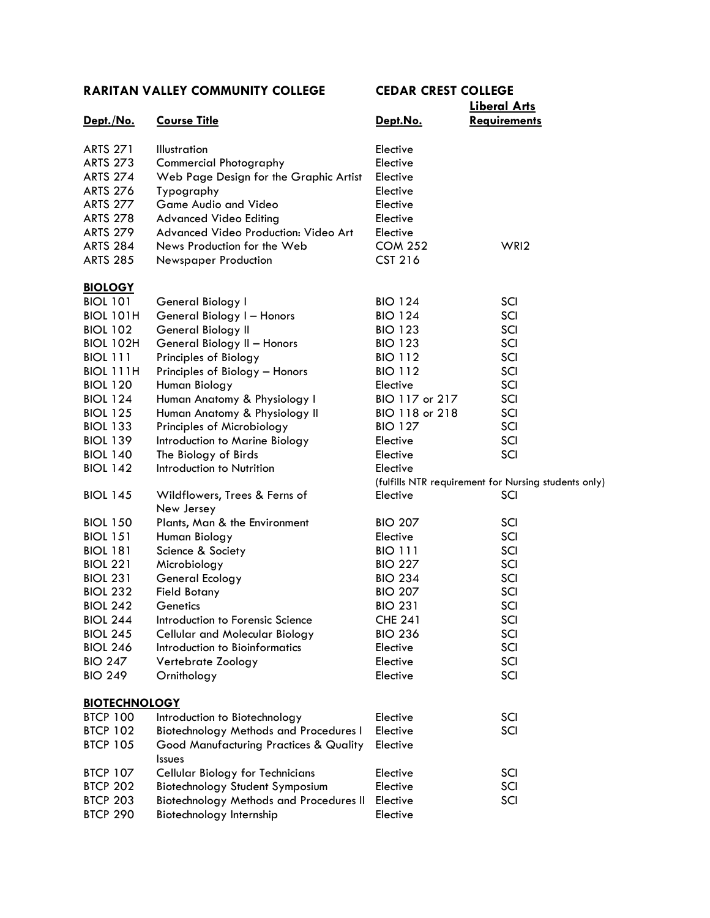| Dept./No.                                                                                                                                                               | <b>Course Title</b>                                                                                                                                                                                                                                                         | Dept.No.                                                                                                             | <u>Liberal Affs</u><br><b>Requirements</b>                  |
|-------------------------------------------------------------------------------------------------------------------------------------------------------------------------|-----------------------------------------------------------------------------------------------------------------------------------------------------------------------------------------------------------------------------------------------------------------------------|----------------------------------------------------------------------------------------------------------------------|-------------------------------------------------------------|
| <b>ARTS 271</b><br><b>ARTS 273</b><br><b>ARTS 274</b><br><b>ARTS 276</b><br><b>ARTS 277</b><br><b>ARTS 278</b><br><b>ARTS 279</b><br><b>ARTS 284</b><br><b>ARTS 285</b> | <b>Illustration</b><br><b>Commercial Photography</b><br>Web Page Design for the Graphic Artist<br>Typography<br>Game Audio and Video<br><b>Advanced Video Editing</b><br>Advanced Video Production: Video Art<br>News Production for the Web<br><b>Newspaper Production</b> | Elective<br>Elective<br>Elective<br>Elective<br>Elective<br>Elective<br>Elective<br><b>COM 252</b><br><b>CST 216</b> | WRI <sub>2</sub>                                            |
|                                                                                                                                                                         |                                                                                                                                                                                                                                                                             |                                                                                                                      |                                                             |
| <b>BIOLOGY</b><br><b>BIOL 101</b><br><b>BIOL 101H</b><br><b>BIOL 102</b><br><b>BIOL 102H</b><br><b>BIOL 111</b>                                                         | General Biology I<br>General Biology I - Honors<br>General Biology II<br>General Biology II - Honors<br>Principles of Biology                                                                                                                                               | <b>BIO 124</b><br><b>BIO 124</b><br><b>BIO 123</b><br><b>BIO 123</b><br><b>BIO 112</b>                               | SCI<br>SCI<br>SCI<br>SCI<br>SCI                             |
| BIOL 111H<br><b>BIOL 120</b><br><b>BIOL 124</b><br><b>BIOL 125</b>                                                                                                      | Principles of Biology - Honors<br>Human Biology<br>Human Anatomy & Physiology I<br>Human Anatomy & Physiology II                                                                                                                                                            | <b>BIO 112</b><br>Elective<br>BIO 117 or 217<br>BIO 118 or 218                                                       | SCI<br>SCI<br>SCI<br>SCI                                    |
| <b>BIOL 133</b><br><b>BIOL 139</b><br><b>BIOL 140</b><br><b>BIOL 142</b>                                                                                                | Principles of Microbiology<br>Introduction to Marine Biology<br>The Biology of Birds<br>Introduction to Nutrition                                                                                                                                                           | <b>BIO 127</b><br>Elective<br>Elective<br>Elective                                                                   | SCI<br>SCI<br>SCI                                           |
| <b>BIOL 145</b>                                                                                                                                                         | Wildflowers, Trees & Ferns of                                                                                                                                                                                                                                               | Elective                                                                                                             | (fulfills NTR requirement for Nursing students only)<br>SCI |
| <b>BIOL 150</b><br><b>BIOL 151</b><br><b>BIOL 181</b>                                                                                                                   | New Jersey<br>Plants, Man & the Environment<br>Human Biology<br>Science & Society                                                                                                                                                                                           | <b>BIO 207</b><br>Elective<br><b>BIO 111</b>                                                                         | SCI<br>SCI<br>SCI                                           |
| <b>BIOL 221</b><br><b>BIOL 231</b><br><b>BIOL 232</b>                                                                                                                   | Microbiology<br>General Ecology<br><b>Field Botany</b>                                                                                                                                                                                                                      | <b>BIO 227</b><br><b>BIO 234</b><br><b>BIO 207</b>                                                                   | SCI<br>SCI<br>SCI                                           |
| <b>BIOL 242</b><br><b>BIOL 244</b><br><b>BIOL 245</b><br><b>BIOL 246</b>                                                                                                | Genetics<br>Introduction to Forensic Science<br><b>Cellular and Molecular Biology</b><br>Introduction to Bioinformatics                                                                                                                                                     | <b>BIO 231</b><br><b>CHE 241</b><br><b>BIO 236</b><br>Elective                                                       | SCI<br>SCI<br>SCI<br>SCI                                    |
| <b>BIO 247</b><br><b>BIO 249</b>                                                                                                                                        | Vertebrate Zoology<br>Ornithology                                                                                                                                                                                                                                           | Elective<br>Elective                                                                                                 | SCI<br>SCI                                                  |
| <b>BIOTECHNOLOGY</b>                                                                                                                                                    |                                                                                                                                                                                                                                                                             |                                                                                                                      |                                                             |
| <b>BTCP 100</b><br><b>BTCP 102</b><br><b>BTCP 105</b>                                                                                                                   | Introduction to Biotechnology<br><b>Biotechnology Methods and Procedures I</b><br>Good Manufacturing Practices & Quality<br><b>Issues</b>                                                                                                                                   | Elective<br>Elective<br>Elective                                                                                     | SCI<br>SCI                                                  |
| <b>BTCP 107</b><br><b>BTCP 202</b><br><b>BTCP 203</b><br><b>BTCP 290</b>                                                                                                | Cellular Biology for Technicians<br>Biotechnology Student Symposium<br><b>Biotechnology Methods and Procedures II</b><br>Biotechnology Internship                                                                                                                           | Elective<br>Elective<br>Elective<br>Elective                                                                         | SCI<br>SCI<br>SCI                                           |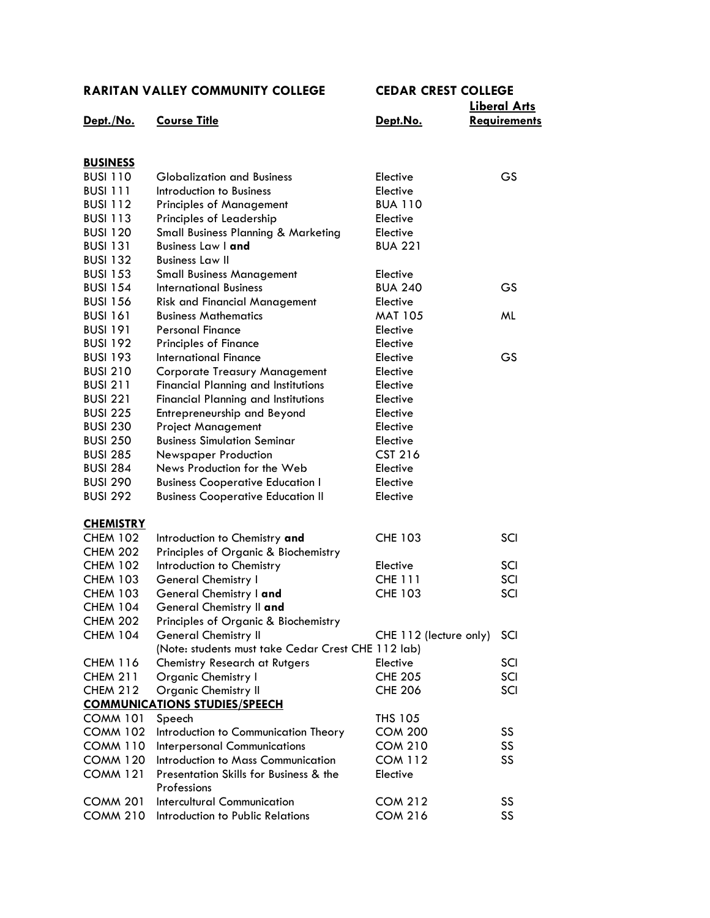|                  |                                                    |                        | <b>Liberal Arts</b> |
|------------------|----------------------------------------------------|------------------------|---------------------|
| Dept./No.        | <b>Course Title</b>                                | Dept.No.               | <b>Requirements</b> |
|                  |                                                    |                        |                     |
| <b>BUSINESS</b>  |                                                    |                        |                     |
| <b>BUSI 110</b>  | <b>Globalization and Business</b>                  | Elective               | GS                  |
| <b>BUSI 111</b>  | Introduction to Business                           | Elective               |                     |
| <b>BUSI 112</b>  | <b>Principles of Management</b>                    | <b>BUA 110</b>         |                     |
| <b>BUSI 113</b>  | Principles of Leadership                           | Elective               |                     |
| <b>BUSI 120</b>  | Small Business Planning & Marketing                | Elective               |                     |
| <b>BUSI 131</b>  | <b>Business Law I and</b>                          | <b>BUA 221</b>         |                     |
| <b>BUSI 132</b>  | <b>Business Law II</b>                             |                        |                     |
| <b>BUSI 153</b>  | <b>Small Business Management</b>                   | Elective               |                     |
| <b>BUSI 154</b>  | <b>International Business</b>                      | <b>BUA 240</b>         | GS                  |
| <b>BUSI 156</b>  | <b>Risk and Financial Management</b>               | Elective               |                     |
| <b>BUSI 161</b>  | <b>Business Mathematics</b>                        | <b>MAT 105</b>         | ML                  |
| <b>BUSI 191</b>  | Personal Finance                                   | Elective               |                     |
| <b>BUSI 192</b>  | <b>Principles of Finance</b>                       | Elective               |                     |
| <b>BUSI 193</b>  | <b>International Finance</b>                       | Elective               | <b>GS</b>           |
| <b>BUSI 210</b>  | <b>Corporate Treasury Management</b>               | Elective               |                     |
| <b>BUSI 211</b>  | <b>Financial Planning and Institutions</b>         | Elective               |                     |
| <b>BUSI 221</b>  | <b>Financial Planning and Institutions</b>         | Elective               |                     |
| <b>BUSI 225</b>  | Entrepreneurship and Beyond                        | Elective               |                     |
| <b>BUSI 230</b>  | <b>Project Management</b>                          | Elective               |                     |
| <b>BUSI 250</b>  | <b>Business Simulation Seminar</b>                 | Elective               |                     |
| <b>BUSI 285</b>  | <b>Newspaper Production</b>                        | <b>CST 216</b>         |                     |
| <b>BUSI 284</b>  | News Production for the Web                        | Elective               |                     |
| <b>BUSI 290</b>  | <b>Business Cooperative Education I</b>            | Elective               |                     |
| <b>BUSI 292</b>  | <b>Business Cooperative Education II</b>           | Elective               |                     |
| <u>CHEMISTRY</u> |                                                    |                        |                     |
| <b>CHEM 102</b>  | Introduction to Chemistry and                      | <b>CHE 103</b>         | SCI                 |
| <b>CHEM 202</b>  | Principles of Organic & Biochemistry               |                        |                     |
| <b>CHEM 102</b>  | Introduction to Chemistry                          | Elective               | SCI                 |
| <b>CHEM 103</b>  | <b>General Chemistry I</b>                         | <b>CHE 111</b>         | SCI                 |
| <b>CHEM 103</b>  | General Chemistry I and                            | <b>CHE 103</b>         | SCI                 |
| <b>CHEM 104</b>  | General Chemistry II and                           |                        |                     |
| CHEM 202         | Principles of Organic & Biochemistry               |                        |                     |
| <b>CHEM 104</b>  | <b>General Chemistry II</b>                        | CHE 112 (lecture only) | SCI                 |
|                  | (Note: students must take Cedar Crest CHE 112 lab) |                        |                     |
| <b>CHEM 116</b>  | Chemistry Research at Rutgers                      | Elective               | SCI                 |
| <b>CHEM 211</b>  | Organic Chemistry I                                | <b>CHE 205</b>         | SCI                 |
| <b>CHEM 212</b>  | <b>Organic Chemistry II</b>                        | <b>CHE 206</b>         | SCI                 |
|                  | <b>COMMUNICATIONS STUDIES/SPEECH</b>               |                        |                     |
| <b>COMM 101</b>  | Speech                                             | THS 105                |                     |
| <b>COMM 102</b>  | Introduction to Communication Theory               | <b>COM 200</b>         | SS                  |
| <b>COMM 110</b>  | <b>Interpersonal Communications</b>                | <b>COM 210</b>         | SS                  |
| <b>COMM 120</b>  | Introduction to Mass Communication                 | <b>COM 112</b>         | SS                  |
| <b>COMM 121</b>  | Presentation Skills for Business & the             | Elective               |                     |
|                  | Professions                                        |                        |                     |
| <b>COMM 201</b>  | <b>Intercultural Communication</b>                 | <b>COM 212</b>         | SS                  |
| <b>COMM 210</b>  | Introduction to Public Relations                   | <b>COM 216</b>         | SS                  |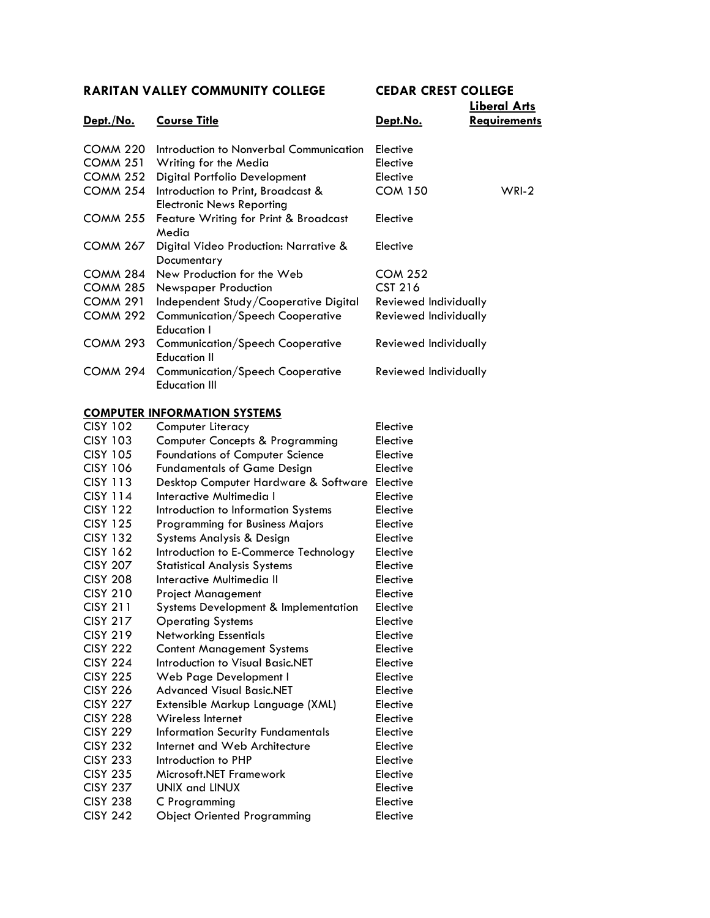## **Liberal Arts**

| <u>Dept./No.</u> | <b>Course Title</b>                                                    | Dept.No.              | <b>LIDERI ANS</b><br><u>Requirements</u> |
|------------------|------------------------------------------------------------------------|-----------------------|------------------------------------------|
| <b>COMM 220</b>  | Introduction to Nonverbal Communication                                | Elective              |                                          |
| COMM 251         | Writing for the Media                                                  | Elective              |                                          |
| <b>COMM 252</b>  | Digital Portfolio Development                                          | Elective              |                                          |
| <b>COMM 254</b>  | Introduction to Print, Broadcast &<br><b>Electronic News Reporting</b> | <b>COM 150</b>        | $WRI-2$                                  |
| <b>COMM 255</b>  | Feature Writing for Print & Broadcast<br>Media                         | Elective              |                                          |
| <b>COMM 267</b>  | Digital Video Production: Narrative &<br>Documentary                   | Elective              |                                          |
| COMM 284         | New Production for the Web                                             | <b>COM 252</b>        |                                          |
| COMM 285         | <b>Newspaper Production</b>                                            | <b>CST 216</b>        |                                          |
| <b>COMM 291</b>  | Independent Study/Cooperative Digital                                  | Reviewed Individually |                                          |
| COMM 292         | <b>Communication/Speech Cooperative</b><br><b>Education I</b>          | Reviewed Individually |                                          |
| COMM 293         | <b>Communication/Speech Cooperative</b><br><b>Education II</b>         | Reviewed Individually |                                          |
| <b>COMM 294</b>  | <b>Communication/Speech Cooperative</b><br><b>Education III</b>        | Reviewed Individually |                                          |

#### **COMPUTER INFORMATION SYSTEMS**

| <b>CISY 102</b> | Computer Literacy                               | Elective |
|-----------------|-------------------------------------------------|----------|
| <b>CISY 103</b> | Computer Concepts & Programming                 | Elective |
| <b>CISY 105</b> | <b>Foundations of Computer Science</b>          | Elective |
| <b>CISY 106</b> | <b>Fundamentals of Game Design</b>              | Elective |
| <b>CISY 113</b> | Desktop Computer Hardware & Software            | Elective |
| <b>CISY 114</b> | Interactive Multimedia I                        | Elective |
| <b>CISY 122</b> | Introduction to Information Systems             | Elective |
| <b>CISY 125</b> | <b>Programming for Business Majors</b>          | Elective |
| <b>CISY 132</b> | Systems Analysis & Design                       | Elective |
| <b>CISY 162</b> | Introduction to E-Commerce Technology           | Elective |
| <b>CISY 207</b> | <b>Statistical Analysis Systems</b>             | Elective |
| <b>CISY 208</b> | Interactive Multimedia II                       | Elective |
| <b>CISY 210</b> | <b>Project Management</b>                       | Elective |
| <b>CISY 211</b> | <b>Systems Development &amp; Implementation</b> | Elective |
| <b>CISY 217</b> | <b>Operating Systems</b>                        | Elective |
| <b>CISY 219</b> | <b>Networking Essentials</b>                    | Elective |
| <b>CISY 222</b> | <b>Content Management Systems</b>               | Elective |
| <b>CISY 224</b> | Introduction to Visual Basic.NET                | Elective |
| <b>CISY 225</b> | Web Page Development I                          | Elective |
| <b>CISY 226</b> | <b>Advanced Visual Basic.NET</b>                | Elective |
| <b>CISY 227</b> | Extensible Markup Language (XML)                | Elective |
| <b>CISY 228</b> | Wireless Internet                               | Elective |
| <b>CISY 229</b> | Information Security Fundamentals               | Elective |
| <b>CISY 232</b> | Internet and Web Architecture                   | Elective |
| <b>CISY 233</b> | Introduction to PHP                             | Elective |
| <b>CISY 235</b> | Microsoft.NET Framework                         | Elective |
| <b>CISY 237</b> | UNIX and LINUX                                  | Elective |
| <b>CISY 238</b> | C Programming                                   | Elective |
| <b>CISY 242</b> | <b>Object Oriented Programming</b>              | Elective |
|                 |                                                 |          |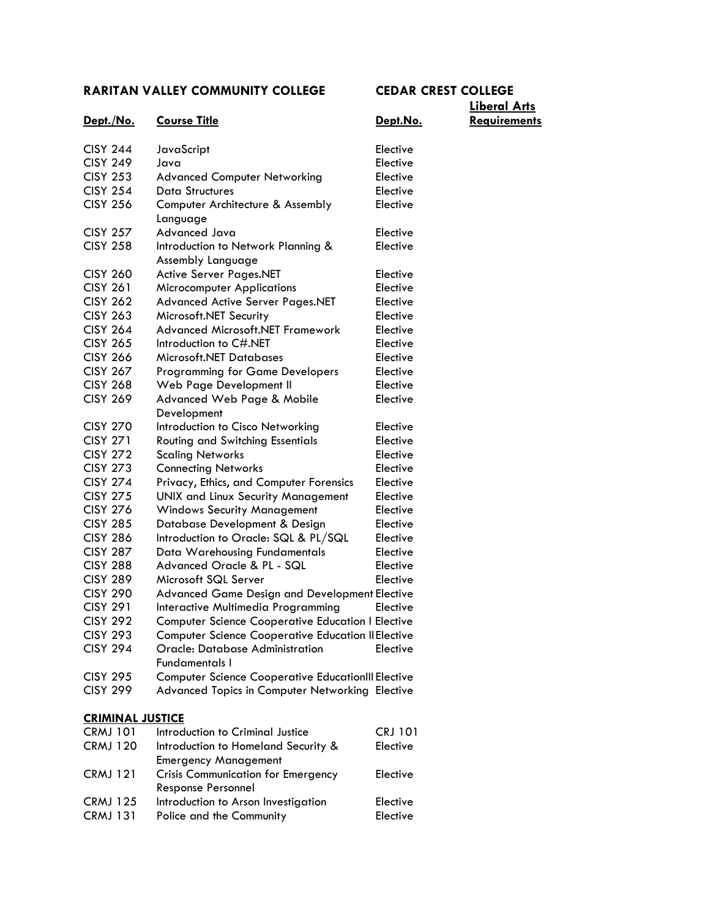| <u>Dept./No.</u>        | <b>Course Title</b>                                       | Dept.No        |
|-------------------------|-----------------------------------------------------------|----------------|
| <b>CISY 244</b>         | JavaScript                                                | Elective       |
| <b>CISY 249</b>         | Java                                                      | Elective       |
| <b>CISY 253</b>         | <b>Advanced Computer Networking</b>                       | Elective       |
| <b>CISY 254</b>         | <b>Data Structures</b>                                    | Elective       |
| <b>CISY 256</b>         | Computer Architecture & Assembly                          | Elective       |
|                         | Language                                                  |                |
| <b>CISY 257</b>         | Advanced Java                                             | Elective       |
| <b>CISY 258</b>         | Introduction to Network Planning &                        | Elective       |
|                         | Assembly Language                                         |                |
| <b>CISY 260</b>         | <b>Active Server Pages.NET</b>                            | Elective       |
| <b>CISY 261</b>         | <b>Microcomputer Applications</b>                         | Elective       |
| <b>CISY 262</b>         | <b>Advanced Active Server Pages.NET</b>                   | Elective       |
| <b>CISY 263</b>         | Microsoft.NET Security                                    | Elective       |
| <b>CISY 264</b>         | <b>Advanced Microsoft.NET Framework</b>                   | Elective       |
| <b>CISY 265</b>         | Introduction to C#.NET                                    | Elective       |
| <b>CISY 266</b>         | Microsoft.NET Databases                                   | Elective       |
| <b>CISY 267</b>         | <b>Programming for Game Developers</b>                    | Elective       |
| <b>CISY 268</b>         | Web Page Development II                                   | Elective       |
| <b>CISY 269</b>         | Advanced Web Page & Mobile                                | Elective       |
|                         | Development                                               |                |
| <b>CISY 270</b>         | Introduction to Cisco Networking                          | Elective       |
| <b>CISY 271</b>         | <b>Routing and Switching Essentials</b>                   | Elective       |
| <b>CISY 272</b>         | <b>Scaling Networks</b>                                   | Elective       |
| <b>CISY 273</b>         | <b>Connecting Networks</b>                                | Elective       |
| <b>CISY 274</b>         | Privacy, Ethics, and Computer Forensics                   | Elective       |
| <b>CISY 275</b>         | <b>UNIX and Linux Security Management</b>                 | Elective       |
| <b>CISY 276</b>         | <b>Windows Security Management</b>                        | Elective       |
| <b>CISY 285</b>         | Database Development & Design                             | Elective       |
| <b>CISY 286</b>         | Introduction to Oracle: SQL & PL/SQL                      | Elective       |
| <b>CISY 287</b>         | Data Warehousing Fundamentals                             | Elective       |
| <b>CISY 288</b>         | Advanced Oracle & PL - SQL                                | Elective       |
| <b>CISY 289</b>         | Microsoft SQL Server                                      | Elective       |
| <b>CISY 290</b>         | Advanced Game Design and Development Elective             |                |
| <b>CISY 291</b>         | Interactive Multimedia Programming                        | Elective       |
| <b>CISY 292</b>         | <b>Computer Science Cooperative Education I Elective</b>  |                |
| <b>CISY 293</b>         | <b>Computer Science Cooperative Education II Elective</b> |                |
| <b>CISY 294</b>         | Oracle: Database Administration                           | Elective       |
|                         | <b>Fundamentals I</b>                                     |                |
| <b>CISY 295</b>         | <b>Computer Science Cooperative EducationIII Elective</b> |                |
| <b>CISY 299</b>         | Advanced Topics in Computer Networking Elective           |                |
|                         |                                                           |                |
| <b>CRIMINAL JUSTICE</b> |                                                           |                |
| <b>CRMJ 101</b>         | Introduction to Criminal Justice                          | <b>CRJ 101</b> |
| <b>CRMJ 120</b>         | Introduction to Homeland Security &                       | Elective       |
|                         | <b>Emergency Management</b>                               |                |
| <b>CRMJ 121</b>         | <b>Crisis Communication for Emergency</b>                 | Elective       |

Response Personnel

CRMJ 125 Introduction to Arson Investigation Elective CRMJ 131 Police and the Community Elective

## **Liberal Arts Dept./No. Course Title Dept.No. Requirements**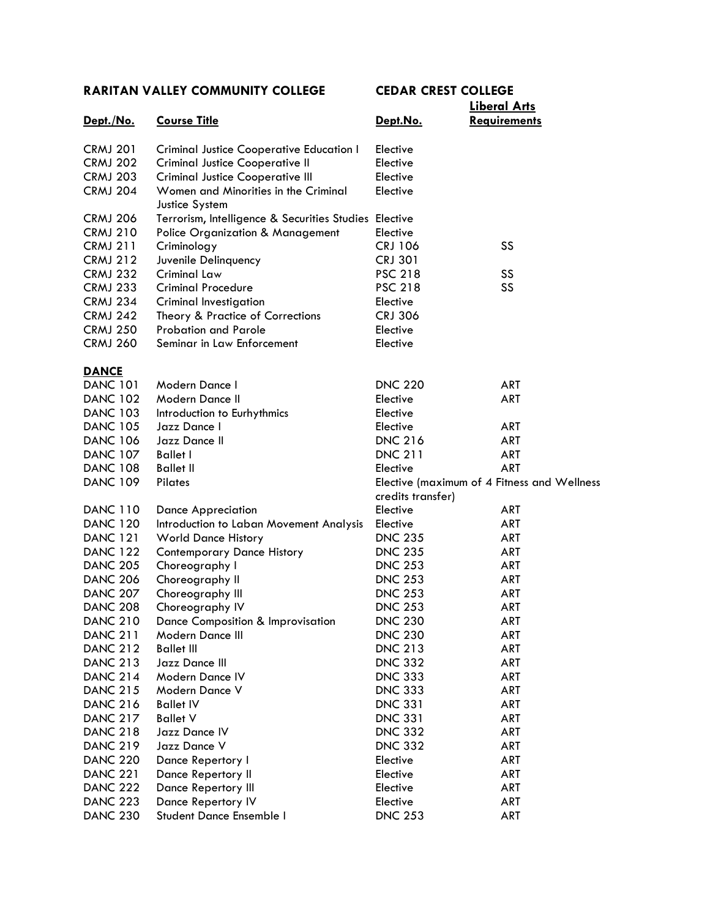|                 |                                                        |                   | <u>Liberal Arts</u>                         |
|-----------------|--------------------------------------------------------|-------------------|---------------------------------------------|
| Dept./No.       | <b>Course Title</b>                                    | Dept.No.          | <b>Requirements</b>                         |
| <b>CRMJ 201</b> | <b>Criminal Justice Cooperative Education I</b>        | Elective          |                                             |
| <b>CRMJ 202</b> | <b>Criminal Justice Cooperative II</b>                 | Elective          |                                             |
| <b>CRMJ 203</b> | <b>Criminal Justice Cooperative III</b>                | Elective          |                                             |
| <b>CRMJ 204</b> | Women and Minorities in the Criminal<br>Justice System | Elective          |                                             |
| <b>CRMJ 206</b> | Terrorism, Intelligence & Securities Studies Elective  |                   |                                             |
| <b>CRMJ 210</b> | <b>Police Organization &amp; Management</b>            | Elective          |                                             |
| <b>CRMJ 211</b> | Criminology                                            | <b>CRJ 106</b>    | SS                                          |
| <b>CRMJ 212</b> | Juvenile Delinquency                                   | <b>CRJ 301</b>    |                                             |
| <b>CRMJ 232</b> | Criminal Law                                           | <b>PSC 218</b>    | SS                                          |
| <b>CRMJ 233</b> | <b>Criminal Procedure</b>                              | <b>PSC 218</b>    | SS                                          |
| <b>CRMJ 234</b> | Criminal Investigation                                 | Elective          |                                             |
| <b>CRMJ 242</b> | Theory & Practice of Corrections                       | <b>CRJ 306</b>    |                                             |
| <b>CRMJ 250</b> | <b>Probation and Parole</b>                            | Elective          |                                             |
| <b>CRMJ 260</b> | Seminar in Law Enforcement                             | Elective          |                                             |
| <b>DANCE</b>    |                                                        |                   |                                             |
| <b>DANC 101</b> | Modern Dance I                                         | <b>DNC 220</b>    | <b>ART</b>                                  |
| <b>DANC 102</b> | Modern Dance II                                        | Elective          | <b>ART</b>                                  |
| <b>DANC 103</b> | Introduction to Eurhythmics                            | Elective          |                                             |
| <b>DANC 105</b> | Jazz Dance I                                           | Elective          | ART                                         |
| <b>DANC 106</b> | Jazz Dance II                                          | <b>DNC 216</b>    | ART                                         |
| <b>DANC 107</b> | <b>Ballet I</b>                                        | <b>DNC 211</b>    | ART                                         |
| <b>DANC 108</b> | <b>Ballet II</b>                                       | Elective          | <b>ART</b>                                  |
| <b>DANC 109</b> | Pilates                                                |                   | Elective (maximum of 4 Fitness and Wellness |
|                 |                                                        | credits transfer) |                                             |
| <b>DANC 110</b> | <b>Dance Appreciation</b>                              | Elective          | ART                                         |
| <b>DANC 120</b> | Introduction to Laban Movement Analysis                | Elective          | ART                                         |
| <b>DANC 121</b> | <b>World Dance History</b>                             | <b>DNC 235</b>    | ART                                         |
| <b>DANC 122</b> | <b>Contemporary Dance History</b>                      | <b>DNC 235</b>    | ART                                         |
| <b>DANC 205</b> | Choreography I                                         | <b>DNC 253</b>    | ART                                         |
| <b>DANC 206</b> | Choreography II                                        | <b>DNC 253</b>    | ART                                         |
| <b>DANC 207</b> | Choreography III                                       | <b>DNC 253</b>    | ART                                         |
| <b>DANC 208</b> | Choreography IV                                        | <b>DNC 253</b>    | <b>ART</b>                                  |
| <b>DANC 210</b> | Dance Composition & Improvisation                      | <b>DNC 230</b>    | ART                                         |
| <b>DANC 211</b> | Modern Dance III                                       | <b>DNC 230</b>    | ART                                         |
| <b>DANC 212</b> | <b>Ballet III</b>                                      | <b>DNC 213</b>    | ART                                         |
| <b>DANC 213</b> | Jazz Dance III                                         | <b>DNC 332</b>    | ART                                         |
| <b>DANC 214</b> | Modern Dance IV                                        | <b>DNC 333</b>    | ART                                         |
| <b>DANC 215</b> | Modern Dance V                                         | <b>DNC 333</b>    | ART                                         |
| <b>DANC 216</b> | <b>Ballet IV</b>                                       | <b>DNC 331</b>    | ART                                         |
| <b>DANC 217</b> | <b>Ballet V</b>                                        | <b>DNC 331</b>    | ART                                         |
| <b>DANC 218</b> | Jazz Dance IV                                          | <b>DNC 332</b>    | ART                                         |
| <b>DANC 219</b> | Jazz Dance V                                           | <b>DNC 332</b>    | ART                                         |
| <b>DANC 220</b> | Dance Repertory I                                      | Elective          | ART                                         |
| <b>DANC 221</b> | Dance Repertory II                                     | Elective          | ART                                         |
| <b>DANC 222</b> | Dance Repertory III                                    | Elective          | ART                                         |
| <b>DANC 223</b> | Dance Repertory IV                                     | Elective          | ART                                         |
| <b>DANC 230</b> | Student Dance Ensemble I                               | <b>DNC 253</b>    | ART                                         |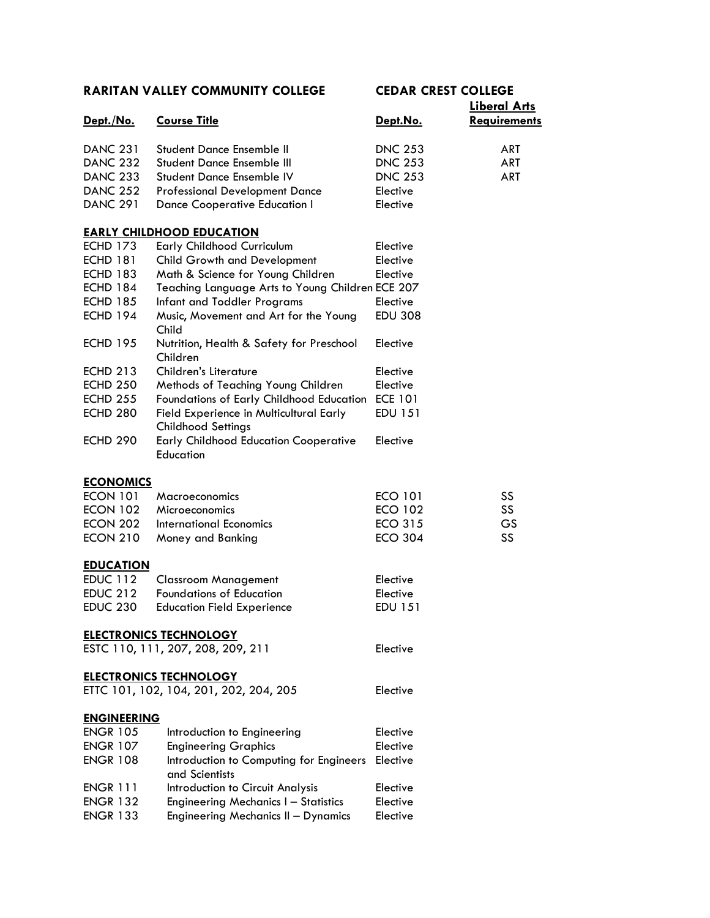|                    |                                                  |                | <b>Liberal Arts</b> |
|--------------------|--------------------------------------------------|----------------|---------------------|
| <u>Dept./No.</u>   | <b>Course Title</b>                              | Dept.No.       | <b>Requirements</b> |
|                    |                                                  |                |                     |
| <b>DANC 231</b>    | Student Dance Ensemble II                        | <b>DNC 253</b> | <b>ART</b>          |
| <b>DANC 232</b>    | <b>Student Dance Ensemble III</b>                | <b>DNC 253</b> | ART                 |
| <b>DANC 233</b>    | Student Dance Ensemble IV                        | <b>DNC 253</b> | <b>ART</b>          |
| <b>DANC 252</b>    | <b>Professional Development Dance</b>            | Elective       |                     |
| <b>DANC 291</b>    | <b>Dance Cooperative Education I</b>             | Elective       |                     |
|                    | <b>EARLY CHILDHOOD EDUCATION</b>                 |                |                     |
| <b>ECHD 173</b>    | <b>Early Childhood Curriculum</b>                | Elective       |                     |
| <b>ECHD 181</b>    | <b>Child Growth and Development</b>              | Elective       |                     |
| <b>ECHD 183</b>    | Math & Science for Young Children                | Elective       |                     |
| <b>ECHD 184</b>    | Teaching Language Arts to Young Children ECE 207 |                |                     |
| <b>ECHD 185</b>    | Infant and Toddler Programs                      | Elective       |                     |
| <b>ECHD 194</b>    | Music, Movement and Art for the Young            | <b>EDU 308</b> |                     |
|                    | Child                                            |                |                     |
| <b>ECHD 195</b>    | Nutrition, Health & Safety for Preschool         | Elective       |                     |
|                    | Children                                         |                |                     |
| <b>ECHD 213</b>    | Children's Literature                            | Elective       |                     |
| <b>ECHD 250</b>    | Methods of Teaching Young Children               | Elective       |                     |
| <b>ECHD 255</b>    | Foundations of Early Childhood Education         | <b>ECE 101</b> |                     |
| <b>ECHD 280</b>    | Field Experience in Multicultural Early          | <b>EDU 151</b> |                     |
|                    | <b>Childhood Settings</b>                        |                |                     |
| <b>ECHD 290</b>    | <b>Early Childhood Education Cooperative</b>     | Elective       |                     |
|                    | Education                                        |                |                     |
| <b>ECONOMICS</b>   |                                                  |                |                     |
| <b>ECON 101</b>    | Macroeconomics                                   | ECO 101        | SS                  |
| <b>ECON 102</b>    | Microeconomics                                   | <b>ECO 102</b> | SS                  |
|                    |                                                  |                |                     |
| <b>ECON 202</b>    | International Economics                          | <b>ECO 315</b> | GS                  |
| <b>ECON 210</b>    | Money and Banking                                | <b>ECO 304</b> | SS                  |
| <b>EDUCATION</b>   |                                                  |                |                     |
| <b>EDUC 112</b>    | <b>Classroom Management</b>                      | Elective       |                     |
| <b>EDUC 212</b>    | <b>Foundations of Education</b>                  | Elective       |                     |
| <b>EDUC 230</b>    | <b>Education Field Experience</b>                | <b>EDU 151</b> |                     |
|                    | <b>ELECTRONICS TECHNOLOGY</b>                    |                |                     |
|                    | ESTC 110, 111, 207, 208, 209, 211                | Elective       |                     |
|                    |                                                  |                |                     |
|                    | <b>ELECTRONICS TECHNOLOGY</b>                    |                |                     |
|                    | ETTC 101, 102, 104, 201, 202, 204, 205           | Elective       |                     |
| <b>ENGINEERING</b> |                                                  |                |                     |
| <b>ENGR 105</b>    | Introduction to Engineering                      | Elective       |                     |
| <b>ENGR 107</b>    | <b>Engineering Graphics</b>                      | Elective       |                     |
| <b>ENGR 108</b>    | Introduction to Computing for Engineers          | Elective       |                     |
|                    | and Scientists                                   |                |                     |
| <b>ENGR 111</b>    | Introduction to Circuit Analysis                 | Elective       |                     |
| <b>ENGR 132</b>    | <b>Engineering Mechanics I - Statistics</b>      | Elective       |                     |
| <b>ENGR 133</b>    | Engineering Mechanics II - Dynamics              | Elective       |                     |
|                    |                                                  |                |                     |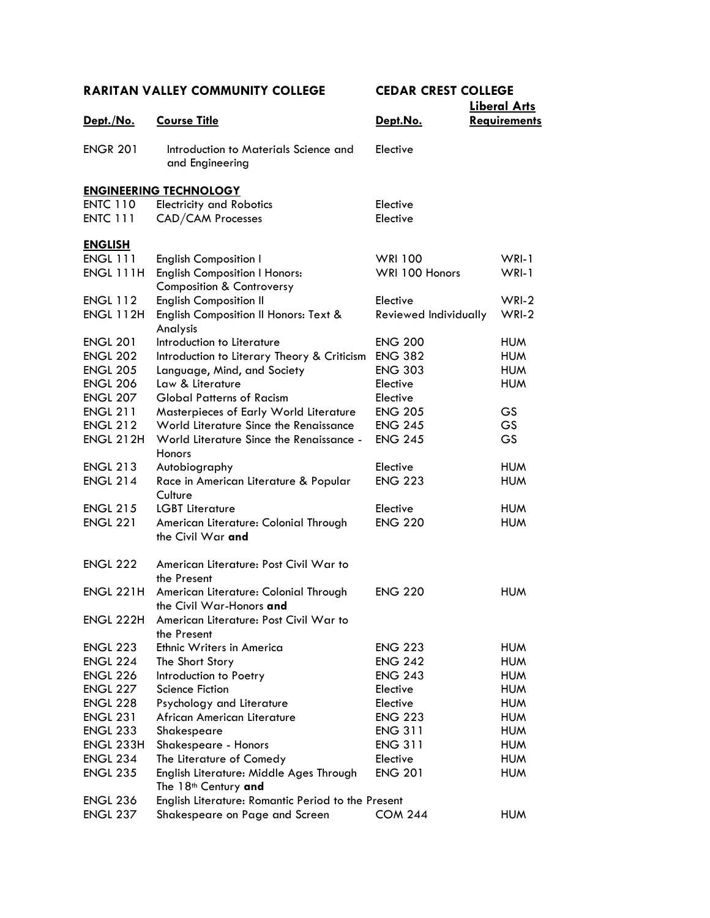|                  |                                                            |                            | <b>Liberal Arts</b>      |
|------------------|------------------------------------------------------------|----------------------------|--------------------------|
| Dept./No.        | <b>Course Title</b>                                        | Dept.No.                   | <b>Requirements</b>      |
|                  |                                                            |                            |                          |
| <b>ENGR 201</b>  | Introduction to Materials Science and                      | Elective                   |                          |
|                  | and Engineering                                            |                            |                          |
|                  | <b>ENGINEERING TECHNOLOGY</b>                              |                            |                          |
| <b>ENTC 110</b>  | <b>Electricity and Robotics</b>                            | Elective                   |                          |
| <b>ENTC 111</b>  | CAD/CAM Processes                                          | Elective                   |                          |
|                  |                                                            |                            |                          |
| <b>ENGLISH</b>   |                                                            |                            |                          |
| <b>ENGL 111</b>  | <b>English Composition I</b>                               | <b>WRI 100</b>             | $WRI-1$                  |
| ENGL 111H        | <b>English Composition I Honors:</b>                       | WRI 100 Honors             | WRI-1                    |
|                  | <b>Composition &amp; Controversy</b>                       |                            |                          |
| <b>ENGL 112</b>  | <b>English Composition II</b>                              | Elective                   | $WRI-2$                  |
| <b>ENGL 112H</b> | English Composition II Honors: Text &                      | Reviewed Individually      | $WRI-2$                  |
|                  | Analysis                                                   |                            |                          |
| <b>ENGL 201</b>  | Introduction to Literature                                 | <b>ENG 200</b>             | <b>HUM</b>               |
| <b>ENGL 202</b>  | Introduction to Literary Theory & Criticism                | <b>ENG 382</b>             | <b>HUM</b>               |
| <b>ENGL 205</b>  | Language, Mind, and Society                                | <b>ENG 303</b>             | <b>HUM</b>               |
| <b>ENGL 206</b>  | Law & Literature                                           | Elective                   | <b>HUM</b>               |
| <b>ENGL 207</b>  | <b>Global Patterns of Racism</b>                           | Elective                   |                          |
| <b>ENGL 211</b>  | Masterpieces of Early World Literature                     | <b>ENG 205</b>             | GS                       |
| <b>ENGL 212</b>  | World Literature Since the Renaissance                     | <b>ENG 245</b>             | <b>GS</b>                |
| <b>ENGL 212H</b> | World Literature Since the Renaissance -                   | <b>ENG 245</b>             | <b>GS</b>                |
|                  | Honors                                                     |                            |                          |
| <b>ENGL 213</b>  | Autobiography                                              | Elective                   | <b>HUM</b>               |
| <b>ENGL 214</b>  | Race in American Literature & Popular                      | <b>ENG 223</b>             | <b>HUM</b>               |
| <b>ENGL 215</b>  | Culture                                                    |                            |                          |
| <b>ENGL 221</b>  | <b>LGBT Literature</b>                                     | Elective<br><b>ENG 220</b> | <b>HUM</b><br><b>HUM</b> |
|                  | American Literature: Colonial Through<br>the Civil War and |                            |                          |
|                  |                                                            |                            |                          |
| <b>ENGL 222</b>  | American Literature: Post Civil War to                     |                            |                          |
|                  | the Present                                                |                            |                          |
| <b>ENGL 221H</b> | American Literature: Colonial Through                      | <b>ENG 220</b>             | <b>HUM</b>               |
|                  | the Civil War-Honors and                                   |                            |                          |
| ENGL 222H        | American Literature: Post Civil War to                     |                            |                          |
|                  | the Present                                                |                            |                          |
| <b>ENGL 223</b>  | Ethnic Writers in America                                  | <b>ENG 223</b>             | <b>HUM</b>               |
| <b>ENGL 224</b>  | The Short Story                                            | <b>ENG 242</b>             | <b>HUM</b>               |
| <b>ENGL 226</b>  | Introduction to Poetry                                     | <b>ENG 243</b>             | <b>HUM</b>               |
| <b>ENGL 227</b>  | Science Fiction                                            | Elective                   | <b>HUM</b>               |
| <b>ENGL 228</b>  | Psychology and Literature                                  | Elective                   | <b>HUM</b>               |
| <b>ENGL 231</b>  | African American Literature                                | <b>ENG 223</b>             | <b>HUM</b>               |
| <b>ENGL 233</b>  | Shakespeare                                                | <b>ENG 311</b>             | <b>HUM</b>               |
| ENGL 233H        | Shakespeare - Honors                                       | <b>ENG 311</b>             | <b>HUM</b>               |
| <b>ENGL 234</b>  | The Literature of Comedy                                   | Elective                   | <b>HUM</b>               |
| <b>ENGL 235</b>  | English Literature: Middle Ages Through                    | <b>ENG 201</b>             | <b>HUM</b>               |
|                  | The 18 <sup>th</sup> Century and                           |                            |                          |
| <b>ENGL 236</b>  | English Literature: Romantic Period to the Present         |                            |                          |
| <b>ENGL 237</b>  | Shakespeare on Page and Screen                             | <b>COM 244</b>             | <b>HUM</b>               |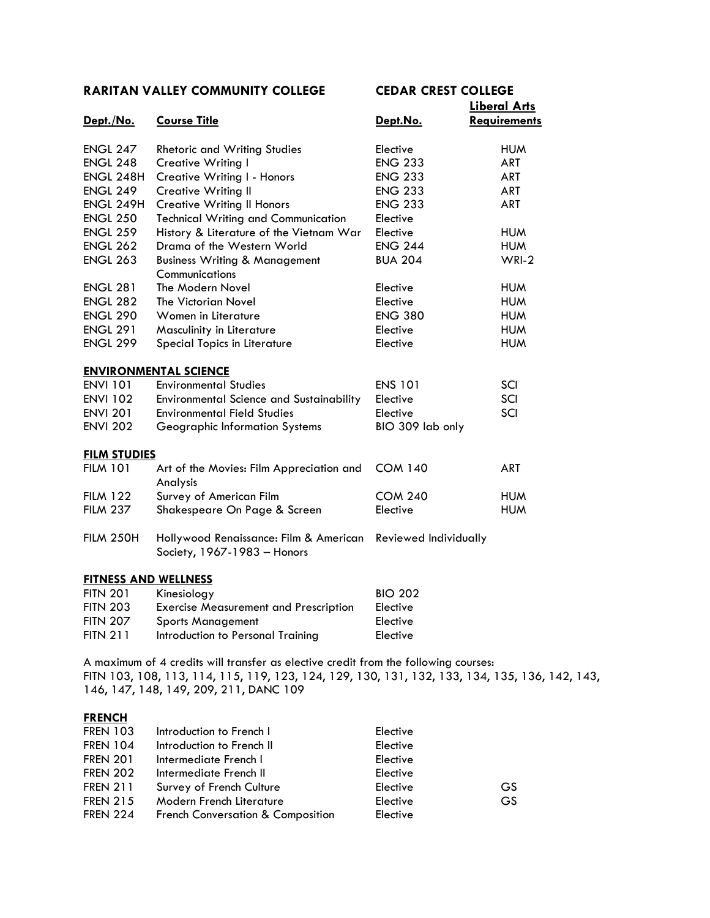|                             |                                                 |                       | <b>Liberal Arts</b> |
|-----------------------------|-------------------------------------------------|-----------------------|---------------------|
| Dept./No.                   | <b>Course Title</b>                             | Dept.No.              | <b>Requirements</b> |
|                             |                                                 |                       |                     |
| <b>ENGL 247</b>             | <b>Rhetoric and Writing Studies</b>             | Elective              | <b>HUM</b>          |
| <b>ENGL 248</b>             | <b>Creative Writing I</b>                       | <b>ENG 233</b>        | <b>ART</b>          |
| ENGL 248H                   | Creative Writing I - Honors                     | <b>ENG 233</b>        | <b>ART</b>          |
| <b>ENGL 249</b>             | <b>Creative Writing II</b>                      | <b>ENG 233</b>        | <b>ART</b>          |
| ENGL 249H                   | <b>Creative Writing II Honors</b>               | <b>ENG 233</b>        | <b>ART</b>          |
| <b>ENGL 250</b>             | <b>Technical Writing and Communication</b>      | Elective              |                     |
| <b>ENGL 259</b>             | History & Literature of the Vietnam War         | Elective              | <b>HUM</b>          |
| <b>ENGL 262</b>             | Drama of the Western World                      | <b>ENG 244</b>        | <b>HUM</b>          |
| <b>ENGL 263</b>             | <b>Business Writing &amp; Management</b>        | <b>BUA 204</b>        | $WRI-2$             |
|                             | Communications                                  |                       |                     |
| <b>ENGL 281</b>             | The Modern Novel                                | Elective              | <b>HUM</b>          |
| <b>ENGL 282</b>             | The Victorian Novel                             | Elective              | <b>HUM</b>          |
| <b>ENGL 290</b>             | Women in Literature                             | <b>ENG 380</b>        | <b>HUM</b>          |
| <b>ENGL 291</b>             | Masculinity in Literature                       | Elective              | <b>HUM</b>          |
| <b>ENGL 299</b>             | Special Topics in Literature                    | Elective              | <b>HUM</b>          |
|                             |                                                 |                       |                     |
|                             | <b>ENVIRONMENTAL SCIENCE</b>                    |                       |                     |
| <b>ENVI 101</b>             | <b>Environmental Studies</b>                    | <b>ENS 101</b>        | SCI                 |
| <b>ENVI 102</b>             | <b>Environmental Science and Sustainability</b> | Elective              | SCI                 |
| <b>ENVI 201</b>             | Environmental Field Studies                     | Elective              | SCI                 |
| <b>ENVI 202</b>             | Geographic Information Systems                  | BIO 309 lab only      |                     |
| <b>FILM STUDIES</b>         |                                                 |                       |                     |
| <b>FILM 101</b>             | Art of the Movies: Film Appreciation and        | <b>COM 140</b>        | <b>ART</b>          |
|                             | Analysis                                        |                       |                     |
| <b>FILM 122</b>             | Survey of American Film                         | <b>COM 240</b>        | <b>HUM</b>          |
| <b>FILM 237</b>             | Shakespeare On Page & Screen                    | Elective              | <b>HUM</b>          |
|                             |                                                 |                       |                     |
| <b>FILM 250H</b>            | Hollywood Renaissance: Film & American          | Reviewed Individually |                     |
|                             | Society, 1967-1983 - Honors                     |                       |                     |
| <b>FITNESS AND WELLNESS</b> |                                                 |                       |                     |
| <b>FITN 201</b>             | Kinesiology                                     | <b>BIO 202</b>        |                     |
| <b>FITN 203</b>             | <b>Exercise Measurement and Prescription</b>    | Elective              |                     |
| <b>FITN 207</b>             | <b>Sports Management</b>                        | Elective              |                     |
| <b>FITN 211</b>             | Introduction to Personal Training               | Elective              |                     |
|                             |                                                 |                       |                     |

A maximum of 4 credits will transfer as elective credit from the following courses: FITN 103, 108, 113, 114, 115, 119, 123, 124, 129, 130, 131, 132, 133, 134, 135, 136, 142, 143, 146, 147, 148, 149, 209, 211, DANC 109

#### **FRENCH**

| <b>FREN 103</b> | Introduction to French I          | Elective |    |
|-----------------|-----------------------------------|----------|----|
| <b>FREN 104</b> | Introduction to French II         | Elective |    |
| <b>FREN 201</b> | Intermediate French I             | Elective |    |
| <b>FREN 202</b> | Intermediate French II            | Elective |    |
| <b>FREN 211</b> | Survey of French Culture          | Elective | GS |
| <b>FREN 215</b> | Modern French Literature          | Elective | GS |
| <b>FREN 224</b> | French Conversation & Composition | Elective |    |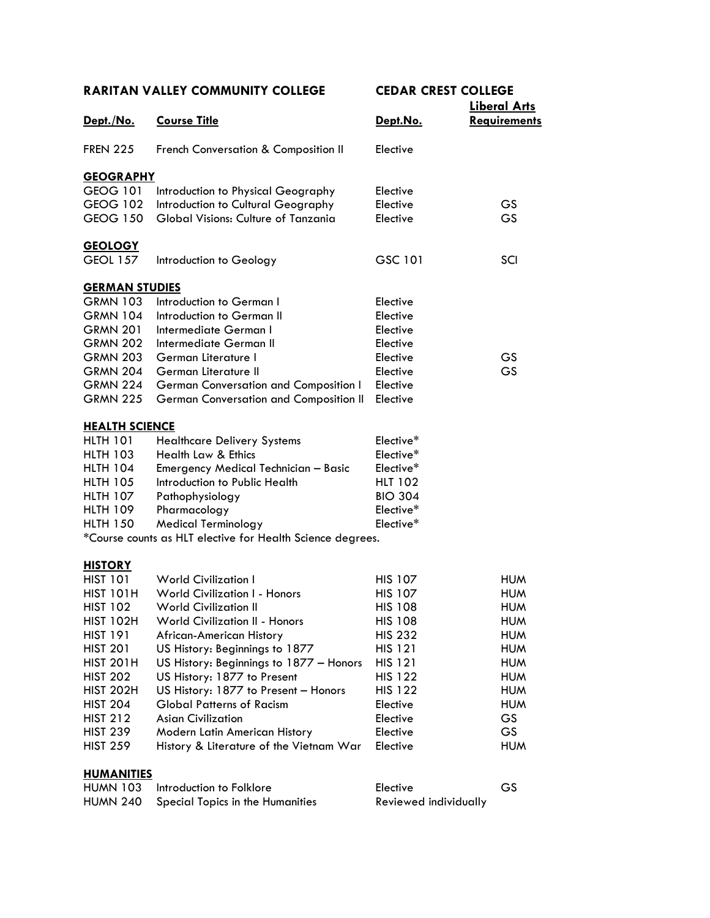| Dept./No.             | <b>Course Title</b>                                        | <u>Dept.No.</u> | Liberal Arts<br><b>Requirements</b> |
|-----------------------|------------------------------------------------------------|-----------------|-------------------------------------|
| <b>FREN 225</b>       | French Conversation & Composition II                       | Elective        |                                     |
| <b>GEOGRAPHY</b>      |                                                            |                 |                                     |
| <b>GEOG 101</b>       | Introduction to Physical Geography                         | Elective        |                                     |
| GEOG 102              | Introduction to Cultural Geography                         | Elective        | GS                                  |
| <b>GEOG 150</b>       | Global Visions: Culture of Tanzania                        | Elective        | GS                                  |
|                       |                                                            |                 |                                     |
| <b>GEOLOGY</b>        |                                                            |                 |                                     |
| <b>GEOL 157</b>       | Introduction to Geology                                    | GSC 101         | SCI                                 |
| <b>GERMAN STUDIES</b> |                                                            |                 |                                     |
| <b>GRMN 103</b>       | Introduction to German I                                   | Elective        |                                     |
| <b>GRMN 104</b>       | Introduction to German II                                  | Elective        |                                     |
| <b>GRMN 201</b>       | Intermediate German I                                      | Elective        |                                     |
| <b>GRMN 202</b>       | Intermediate German II                                     | Elective        |                                     |
| <b>GRMN 203</b>       | German Literature I                                        | Elective        | GS                                  |
| <b>GRMN 204</b>       | German Literature II                                       | Elective        | GS                                  |
| <b>GRMN 224</b>       | German Conversation and Composition I                      | Elective        |                                     |
| <b>GRMN 225</b>       | German Conversation and Composition II                     | Elective        |                                     |
| <b>HEALTH SCIENCE</b> |                                                            |                 |                                     |
| <b>HLTH 101</b>       | <b>Healthcare Delivery Systems</b>                         | Elective*       |                                     |
| <b>HLTH 103</b>       | <b>Health Law &amp; Ethics</b>                             | Elective*       |                                     |
| <b>HLTH 104</b>       | <b>Emergency Medical Technician - Basic</b>                | Elective*       |                                     |
| <b>HLTH 105</b>       | Introduction to Public Health                              | <b>HLT 102</b>  |                                     |
| <b>HLTH 107</b>       | Pathophysiology                                            | <b>BIO 304</b>  |                                     |
| <b>HLTH 109</b>       | Pharmacology                                               | Elective*       |                                     |
| <b>HLTH 150</b>       | <b>Medical Terminology</b>                                 | Elective*       |                                     |
|                       | *Course counts as HLT elective for Health Science degrees. |                 |                                     |
| <u>HISTORY</u>        |                                                            |                 |                                     |
| <b>HIST 101</b>       | <b>World Civilization I</b>                                | <b>HIS 107</b>  | <b>HUM</b>                          |
| <b>HIST 101H</b>      | <b>World Civilization I - Honors</b>                       | <b>HIS 107</b>  | <b>HUM</b>                          |
| <b>HIST 102</b>       | <b>World Civilization II</b>                               | <b>HIS 108</b>  | <b>HUM</b>                          |
| <b>HIST 102H</b>      | World Civilization II - Honors                             | <b>HIS 108</b>  | <b>HUM</b>                          |
| <b>HIST 191</b>       | African-American History                                   | <b>HIS 232</b>  | <b>HUM</b>                          |
| <b>HIST 201</b>       | US History: Beginnings to 1877                             | <b>HIS 121</b>  | <b>HUM</b>                          |
| <b>HIST 201H</b>      | US History: Beginnings to 1877 - Honors                    | <b>HIS 121</b>  | <b>HUM</b>                          |
| <b>HIST 202</b>       | US History: 1877 to Present                                | <b>HIS 122</b>  | <b>HUM</b>                          |
| <b>HIST 202H</b>      | US History: 1877 to Present - Honors                       | <b>HIS 122</b>  | <b>HUM</b>                          |
| <b>HIST 204</b>       | <b>Global Patterns of Racism</b>                           | Elective        | <b>HUM</b>                          |
| <b>HIST 212</b>       | <b>Asian Civilization</b>                                  | Elective        | GS                                  |
| <b>HIST 239</b>       | Modern Latin American History                              | Elective        | GS                                  |
| <b>HIST 259</b>       | History & Literature of the Vietnam War                    | Elective        | <b>HUM</b>                          |
| <b>HUMANITIES</b>     |                                                            |                 |                                     |
| <b>HUMN 103</b>       | Introduction to Folklore                                   | Elective        | GS                                  |

| <u> 11111 vuotilvilla virivite</u>        | -----                 |  |
|-------------------------------------------|-----------------------|--|
| HUMN 240 Special Topics in the Humanities | Reviewed individually |  |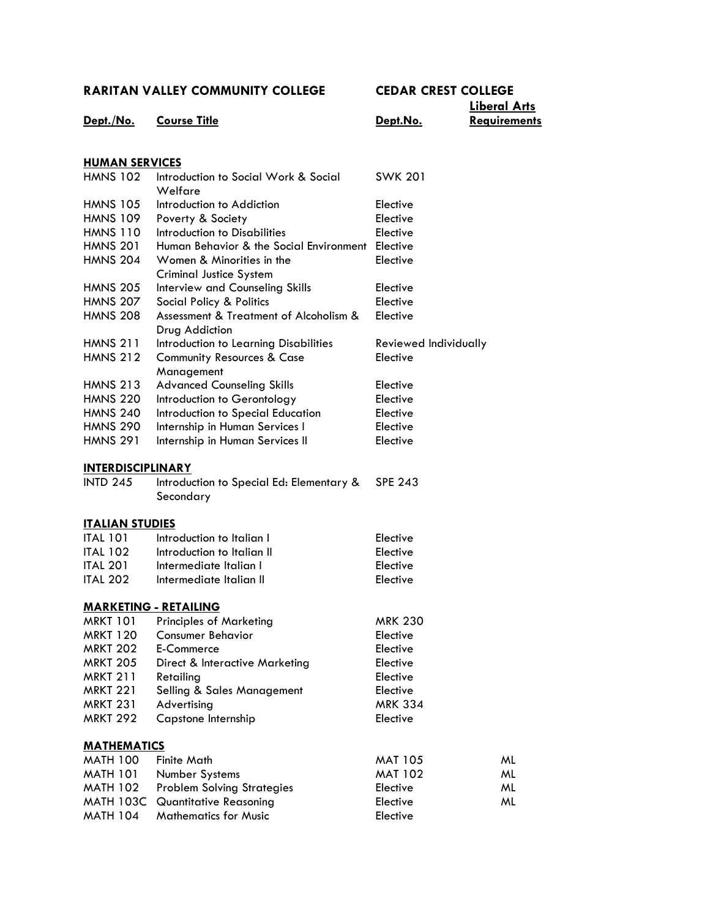|                          |                                                          |                       | Liberal Arts        |  |
|--------------------------|----------------------------------------------------------|-----------------------|---------------------|--|
| Dept./No.                | <b>Course Title</b>                                      | <u>Dept.No.</u>       | <b>Requirements</b> |  |
|                          |                                                          |                       |                     |  |
|                          |                                                          |                       |                     |  |
| <b>HUMAN SERVICES</b>    |                                                          |                       |                     |  |
| <b>HMNS 102</b>          | Introduction to Social Work & Social<br>Welfare          | <b>SWK 201</b>        |                     |  |
| <b>HMNS 105</b>          | Introduction to Addiction                                | Elective              |                     |  |
| <b>HMNS 109</b>          | Poverty & Society                                        | Elective              |                     |  |
| <b>HMNS 110</b>          | Introduction to Disabilities                             | Elective              |                     |  |
| <b>HMNS 201</b>          | Human Behavior & the Social Environment Elective         |                       |                     |  |
| <b>HMNS 204</b>          | Women & Minorities in the                                | Elective              |                     |  |
|                          | Criminal Justice System                                  |                       |                     |  |
| <b>HMNS 205</b>          | Interview and Counseling Skills                          | Elective              |                     |  |
| <b>HMNS 207</b>          | Social Policy & Politics                                 | Elective              |                     |  |
| <b>HMNS 208</b>          | Assessment & Treatment of Alcoholism &<br>Drug Addiction | Elective              |                     |  |
| <b>HMNS 211</b>          | Introduction to Learning Disabilities                    | Reviewed Individually |                     |  |
| <b>HMNS 212</b>          | <b>Community Resources &amp; Case</b><br>Management      | Elective              |                     |  |
| <b>HMNS 213</b>          | <b>Advanced Counseling Skills</b>                        | Elective              |                     |  |
| <b>HMNS 220</b>          | Introduction to Gerontology                              | Elective              |                     |  |
| <b>HMNS 240</b>          | Introduction to Special Education                        | Elective              |                     |  |
| <b>HMNS 290</b>          |                                                          | Elective              |                     |  |
|                          | Internship in Human Services I                           |                       |                     |  |
| <b>HMNS 291</b>          | Internship in Human Services II                          | Elective              |                     |  |
| <u>INTERDISCIPLINARY</u> |                                                          |                       |                     |  |
| <b>INTD 245</b>          | Introduction to Special Ed: Elementary &                 | <b>SPE 243</b>        |                     |  |
|                          | Secondary                                                |                       |                     |  |
| <u>ITALIAN STUDIES</u>   |                                                          |                       |                     |  |
| <b>ITAL 101</b>          | Introduction to Italian I                                | Elective              |                     |  |
| <b>ITAL 102</b>          | Introduction to Italian II                               | Elective              |                     |  |
| <b>ITAL 201</b>          | Intermediate Italian I                                   | Elective              |                     |  |
| <b>ITAL 202</b>          | Intermediate Italian II                                  | Elective              |                     |  |
|                          |                                                          |                       |                     |  |
|                          | <u> MARKETING - RETAILING</u>                            |                       |                     |  |
| MRKT 101                 | <b>Principles of Marketing</b>                           | <b>MRK 230</b>        |                     |  |
| <b>MRKT 120</b>          | <b>Consumer Behavior</b>                                 | Elective              |                     |  |
| <b>MRKT 202</b>          | E-Commerce                                               | Elective              |                     |  |
| <b>MRKT 205</b>          | Direct & Interactive Marketing                           | Elective              |                     |  |
| <b>MRKT 211</b>          | Retailing                                                | Elective              |                     |  |
| <b>MRKT 221</b>          | Selling & Sales Management                               | Elective              |                     |  |
| <b>MRKT 231</b>          | Advertising                                              | <b>MRK 334</b>        |                     |  |
| <b>MRKT 292</b>          | Capstone Internship                                      | Elective              |                     |  |
| <b>MATHEMATICS</b>       |                                                          |                       |                     |  |
| <b>MATH 100</b>          | <b>Finite Math</b>                                       | <b>MAT 105</b>        | ML                  |  |
| <b>MATH 101</b>          | Number Systems                                           | <b>MAT 102</b>        | ML                  |  |
| <b>MATH 102</b>          | <b>Problem Solving Strategies</b>                        | Elective              | ML                  |  |
| <b>MATH 103C</b>         | <b>Quantitative Reasoning</b>                            | Elective              | ML                  |  |
| <b>MATH 104</b>          | <b>Mathematics for Music</b>                             | Elective              |                     |  |
|                          |                                                          |                       |                     |  |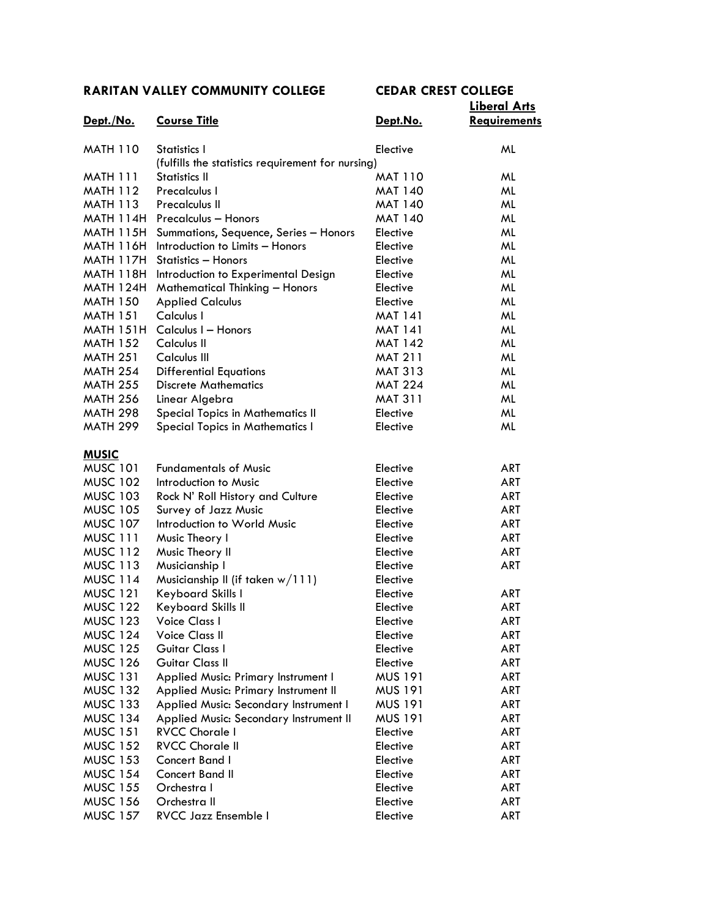|                  |                                                   |                | <b>Liberal Arts</b> |
|------------------|---------------------------------------------------|----------------|---------------------|
| Dept./No.        | <b>Course Title</b>                               | Dept.No.       | <b>Requirements</b> |
| <b>MATH 110</b>  | Statistics I                                      | Elective       | ML                  |
|                  | (fulfills the statistics requirement for nursing) |                |                     |
| <b>MATH 111</b>  | Statistics II                                     | <b>MAT 110</b> | ML                  |
| <b>MATH 112</b>  | Precalculus I                                     | <b>MAT 140</b> | ML                  |
| <b>MATH 113</b>  | <b>Precalculus II</b>                             | <b>MAT 140</b> | ML                  |
| MATH 114H        | <b>Precalculus - Honors</b>                       | <b>MAT 140</b> | ML                  |
| <b>MATH 115H</b> | Summations, Sequence, Series - Honors             | Elective       | ML                  |
| <b>MATH 116H</b> | Introduction to Limits - Honors                   | Elective       | ML                  |
| <b>MATH 117H</b> | Statistics - Honors                               | Elective       | ML                  |
| <b>MATH 118H</b> | Introduction to Experimental Design               | Elective       | ML                  |
| <b>MATH 124H</b> | <b>Mathematical Thinking - Honors</b>             | Elective       | ML                  |
| <b>MATH 150</b>  | <b>Applied Calculus</b>                           | Elective       | ML                  |
| <b>MATH 151</b>  | Calculus I                                        | <b>MAT 141</b> | ML                  |
| <b>MATH 151H</b> | Calculus I - Honors                               | <b>MAT 141</b> | ML                  |
| <b>MATH 152</b>  | Calculus II                                       | <b>MAT 142</b> | ML                  |
| <b>MATH 251</b>  | Calculus III                                      | <b>MAT 211</b> | ML                  |
| <b>MATH 254</b>  | <b>Differential Equations</b>                     | <b>MAT 313</b> | ML                  |
| <b>MATH 255</b>  | <b>Discrete Mathematics</b>                       | <b>MAT 224</b> | ML                  |
| <b>MATH 256</b>  | Linear Algebra                                    | <b>MAT 311</b> | ML                  |
| <b>MATH 298</b>  | <b>Special Topics in Mathematics II</b>           | Elective       | ML                  |
| <b>MATH 299</b>  | <b>Special Topics in Mathematics I</b>            | Elective       | ML                  |
| <u>MUSIC</u>     |                                                   |                |                     |
| <b>MUSC 101</b>  | <b>Fundamentals of Music</b>                      | Elective       | <b>ART</b>          |
| <b>MUSC 102</b>  | Introduction to Music                             | Elective       | <b>ART</b>          |
| <b>MUSC 103</b>  | Rock N' Roll History and Culture                  | Elective       | <b>ART</b>          |
| <b>MUSC 105</b>  | Survey of Jazz Music                              | Elective       | <b>ART</b>          |
| <b>MUSC 107</b>  | Introduction to World Music                       | Elective       | <b>ART</b>          |
| MUSC 111         | Music Theory I                                    | Elective       | <b>ART</b>          |
| <b>MUSC 112</b>  | Music Theory II                                   | Elective       | <b>ART</b>          |
| <b>MUSC 113</b>  | Musicianship I                                    | Elective       | <b>ART</b>          |
| <b>MUSC 114</b>  | Musicianship II (if taken $w/111$ )               | Elective       |                     |
| <b>MUSC 121</b>  | Keyboard Skills I                                 | Elective       | ART                 |
| <b>MUSC 122</b>  | Keyboard Skills II                                | Elective       | ART                 |
| <b>MUSC 123</b>  | Voice Class I                                     | Elective       | <b>ART</b>          |
| <b>MUSC 124</b>  | <b>Voice Class II</b>                             | Elective       | ART                 |
| <b>MUSC 125</b>  | Guitar Class I                                    | Elective       | ART                 |
| <b>MUSC 126</b>  | Guitar Class II                                   | Elective       | ART                 |
| <b>MUSC 131</b>  | Applied Music: Primary Instrument I               | <b>MUS 191</b> | ART                 |
| <b>MUSC 132</b>  | Applied Music: Primary Instrument II              | <b>MUS 191</b> | ART                 |
| <b>MUSC 133</b>  | Applied Music: Secondary Instrument I             | <b>MUS 191</b> | ART                 |
| <b>MUSC 134</b>  | Applied Music: Secondary Instrument II            | <b>MUS 191</b> | ART                 |
| <b>MUSC 151</b>  | <b>RVCC Chorale I</b>                             | Elective       | ART                 |
| <b>MUSC 152</b>  | <b>RVCC Chorale II</b>                            | Elective       | ART                 |
| <b>MUSC 153</b>  | Concert Band I                                    | Elective       | ART                 |
| <b>MUSC 154</b>  | <b>Concert Band II</b>                            | Elective       | ART                 |
| <b>MUSC 155</b>  | Orchestra I                                       | Elective       | ART                 |
| <b>MUSC 156</b>  | Orchestra II                                      | Elective       | ART                 |
| <b>MUSC 157</b>  | RVCC Jazz Ensemble I                              | Elective       | ART                 |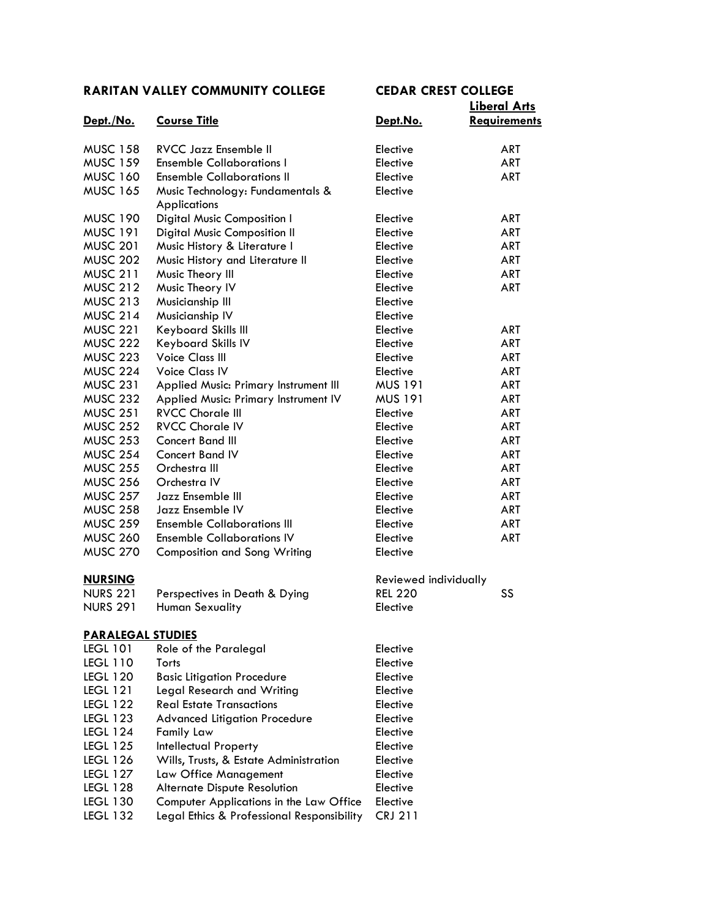| Dept./No.                | <b>Course Title</b>                        | Dept.No.              | <u>Liberal Affs</u><br><b>Requirements</b> |
|--------------------------|--------------------------------------------|-----------------------|--------------------------------------------|
| <b>MUSC 158</b>          | <b>RVCC Jazz Ensemble II</b>               | Elective              | ART                                        |
| <b>MUSC 159</b>          | <b>Ensemble Collaborations I</b>           | Elective              | <b>ART</b>                                 |
| <b>MUSC 160</b>          | <b>Ensemble Collaborations II</b>          | Elective              | <b>ART</b>                                 |
| <b>MUSC 165</b>          | Music Technology: Fundamentals &           | Elective              |                                            |
|                          | <b>Applications</b>                        |                       |                                            |
| <b>MUSC 190</b>          | Digital Music Composition I                | Elective              | ART                                        |
| <b>MUSC 191</b>          | <b>Digital Music Composition II</b>        | Elective              | ART                                        |
| <b>MUSC 201</b>          | Music History & Literature I               | Elective              | ART                                        |
| <b>MUSC 202</b>          | Music History and Literature II            | Elective              | ART                                        |
| <b>MUSC 211</b>          | Music Theory III                           | Elective              | ART                                        |
| <b>MUSC 212</b>          | Music Theory IV                            | Elective              | <b>ART</b>                                 |
| <b>MUSC 213</b>          | Musicianship III                           | Elective              |                                            |
| <b>MUSC 214</b>          | Musicianship IV                            | Elective              |                                            |
| <b>MUSC 221</b>          | Keyboard Skills III                        | Elective              | <b>ART</b>                                 |
| <b>MUSC 222</b>          | Keyboard Skills IV                         | Elective              | <b>ART</b>                                 |
| <b>MUSC 223</b>          | <b>Voice Class III</b>                     | Elective              | <b>ART</b>                                 |
| <b>MUSC 224</b>          | <b>Voice Class IV</b>                      | Elective              | <b>ART</b>                                 |
| <b>MUSC 231</b>          | Applied Music: Primary Instrument III      | <b>MUS 191</b>        | <b>ART</b>                                 |
| <b>MUSC 232</b>          | Applied Music: Primary Instrument IV       | <b>MUS 191</b>        | <b>ART</b>                                 |
| <b>MUSC 251</b>          | <b>RVCC Chorale III</b>                    | Elective              | <b>ART</b>                                 |
| <b>MUSC 252</b>          | <b>RVCC Chorale IV</b>                     | Elective              | <b>ART</b>                                 |
| <b>MUSC 253</b>          | Concert Band III                           | Elective              | <b>ART</b>                                 |
| <b>MUSC 254</b>          | <b>Concert Band IV</b>                     | Elective              | <b>ART</b>                                 |
| <b>MUSC 255</b>          | Orchestra III                              | Elective              | <b>ART</b>                                 |
| <b>MUSC 256</b>          | Orchestra IV                               | Elective              | ART                                        |
| <b>MUSC 257</b>          | Jazz Ensemble III                          | Elective              | ART                                        |
| <b>MUSC 258</b>          | Jazz Ensemble IV                           | Elective              | ART                                        |
| <b>MUSC 259</b>          | <b>Ensemble Collaborations III</b>         | Elective              | <b>ART</b>                                 |
| <b>MUSC 260</b>          | <b>Ensemble Collaborations IV</b>          | Elective              | <b>ART</b>                                 |
| <b>MUSC 270</b>          | <b>Composition and Song Writing</b>        | Elective              |                                            |
|                          |                                            |                       |                                            |
| <b>NURSING</b>           |                                            | Reviewed individually |                                            |
| <b>NURS 221</b>          | Perspectives in Death & Dying              | <b>REL 220</b>        | SS                                         |
| <b>NURS 291</b>          | Human Sexuality                            | Elective              |                                            |
| <b>PARALEGAL STUDIES</b> |                                            |                       |                                            |
| <b>LEGL 101</b>          | Role of the Paralegal                      | Elective              |                                            |
| <b>LEGL 110</b>          | Torts                                      | Elective              |                                            |
| <b>LEGL 120</b>          | <b>Basic Litigation Procedure</b>          | Elective              |                                            |
| <b>LEGL 121</b>          | Legal Research and Writing                 | Elective              |                                            |
| <b>LEGL 122</b>          | <b>Real Estate Transactions</b>            | Elective              |                                            |
| <b>LEGL 123</b>          | <b>Advanced Litigation Procedure</b>       | Elective              |                                            |
| <b>LEGL 124</b>          | <b>Family Law</b>                          | Elective              |                                            |
| <b>LEGL 125</b>          | <b>Intellectual Property</b>               | Elective              |                                            |
| <b>LEGL 126</b>          | Wills, Trusts, & Estate Administration     | Elective              |                                            |
| <b>LEGL 127</b>          | Law Office Management                      | Elective              |                                            |
| <b>LEGL 128</b>          | <b>Alternate Dispute Resolution</b>        | Elective              |                                            |
| <b>LEGL 130</b>          | Computer Applications in the Law Office    | Elective              |                                            |
| <b>LEGL 132</b>          | Legal Ethics & Professional Responsibility | <b>CRJ 211</b>        |                                            |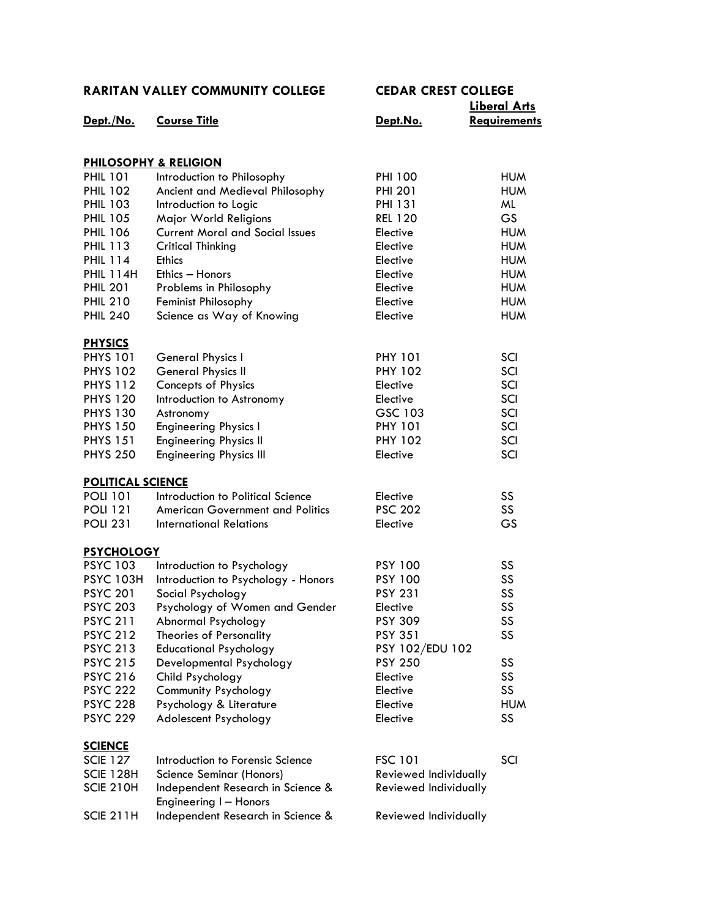|                          |                                                             |                       | <u> Liberal Arts</u> |
|--------------------------|-------------------------------------------------------------|-----------------------|----------------------|
| Dept./No.                | <b>Course Title</b>                                         | Dept.No.              | Requirements         |
|                          | <b>PHILOSOPHY &amp; RELIGION</b>                            |                       |                      |
| <b>PHIL 101</b>          | Introduction to Philosophy                                  | <b>PHI 100</b>        | <b>HUM</b>           |
| <b>PHIL 102</b>          | Ancient and Medieval Philosophy                             | <b>PHI 201</b>        | <b>HUM</b>           |
| <b>PHIL 103</b>          | Introduction to Logic                                       | <b>PHI 131</b>        | ML                   |
| <b>PHIL 105</b>          | Major World Religions                                       | <b>REL 120</b>        | <b>GS</b>            |
| <b>PHIL 106</b>          | <b>Current Moral and Social Issues</b>                      | Elective              | <b>HUM</b>           |
| <b>PHIL 113</b>          | Critical Thinking                                           | Elective              | <b>HUM</b>           |
| <b>PHIL 114</b>          | <b>Ethics</b>                                               | Elective              | <b>HUM</b>           |
| <b>PHIL 114H</b>         | Ethics - Honors                                             | Elective              | <b>HUM</b>           |
| <b>PHIL 201</b>          | Problems in Philosophy                                      | Elective              | <b>HUM</b>           |
| <b>PHIL 210</b>          | Feminist Philosophy                                         | Elective              | <b>HUM</b>           |
| <b>PHIL 240</b>          | Science as Way of Knowing                                   | Elective              | <b>HUM</b>           |
| <b>PHYSICS</b>           |                                                             |                       |                      |
| <b>PHYS 101</b>          | General Physics I                                           | <b>PHY 101</b>        | SCI                  |
| <b>PHYS 102</b>          | <b>General Physics II</b>                                   | <b>PHY 102</b>        | SCI                  |
| <b>PHYS 112</b>          | Concepts of Physics                                         | Elective              | SCI                  |
| <b>PHYS 120</b>          | Introduction to Astronomy                                   | Elective              | SCI                  |
| <b>PHYS 130</b>          | Astronomy                                                   | GSC 103               | SCI                  |
| <b>PHYS 150</b>          | <b>Engineering Physics I</b>                                | <b>PHY 101</b>        | SCI                  |
| <b>PHYS 151</b>          | <b>Engineering Physics II</b>                               | <b>PHY 102</b>        | SCI                  |
| <b>PHYS 250</b>          | <b>Engineering Physics III</b>                              | Elective              | SCI                  |
| <b>POLITICAL SCIENCE</b> |                                                             |                       |                      |
| <b>POLI 101</b>          | Introduction to Political Science                           | Elective              | SS                   |
| <b>POLI 121</b>          | <b>American Government and Politics</b>                     | <b>PSC 202</b>        | SS                   |
| <b>POLI 231</b>          | <b>International Relations</b>                              | Elective              | GS                   |
| <b>PSYCHOLOGY</b>        |                                                             |                       |                      |
| <b>PSYC 103</b>          | Introduction to Psychology                                  | <b>PSY 100</b>        | SS                   |
| <b>PSYC 103H</b>         | Introduction to Psychology - Honors                         | <b>PSY 100</b>        | SS                   |
| <b>PSYC 201</b>          | Social Psychology                                           | <b>PSY 231</b>        | SS                   |
| <b>PSYC 203</b>          | Psychology of Women and Gender                              | Elective              | SS                   |
| <b>PSYC 211</b>          | Abnormal Psychology                                         | <b>PSY 309</b>        | SS                   |
| <b>PSYC 212</b>          | Theories of Personality                                     | <b>PSY 351</b>        | SS                   |
| <b>PSYC 213</b>          | <b>Educational Psychology</b>                               | PSY 102/EDU 102       |                      |
| <b>PSYC 215</b>          | Developmental Psychology                                    | <b>PSY 250</b>        | SS                   |
| <b>PSYC 216</b>          | Child Psychology                                            | Elective              | SS                   |
| <b>PSYC 222</b>          | Community Psychology                                        | Elective              | SS                   |
| <b>PSYC 228</b>          | Psychology & Literature                                     | Elective              | <b>HUM</b>           |
| <b>PSYC 229</b>          | Adolescent Psychology                                       | Elective              | SS                   |
| <b>SCIENCE</b>           |                                                             |                       |                      |
| <b>SCIE 127</b>          | Introduction to Forensic Science                            | <b>FSC 101</b>        | SCI                  |
| SCIE 128H                | Science Seminar (Honors)                                    | Reviewed Individually |                      |
| SCIE 210H                | Independent Research in Science &<br>Engineering I - Honors | Reviewed Individually |                      |
| SCIE 211H                | Independent Research in Science &                           | Reviewed Individually |                      |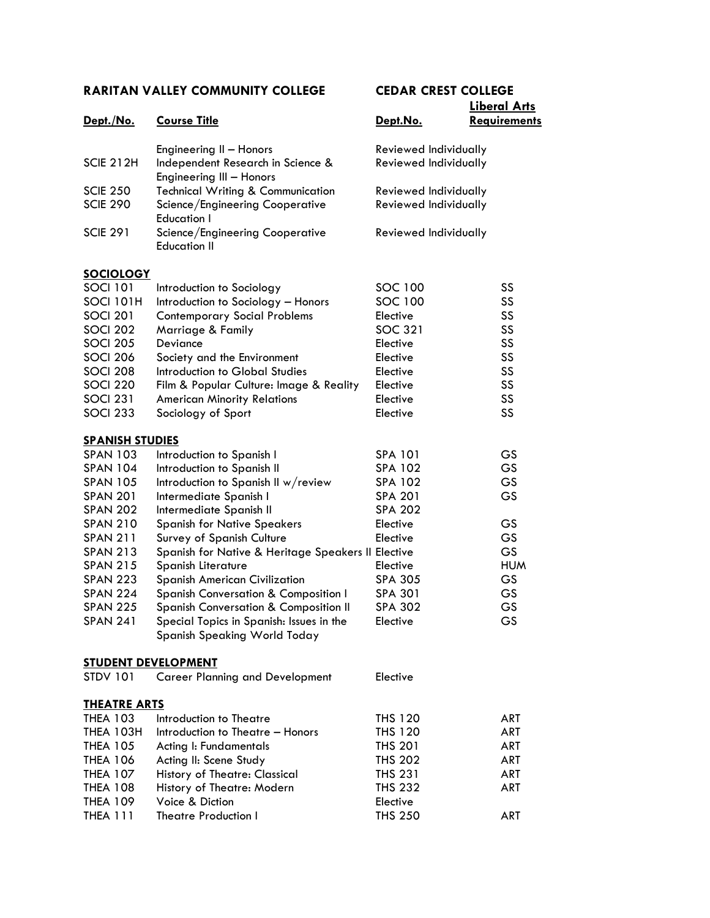| Dept./No.                  | <b>Course Title</b>                                                      | Dept.No.              | <b>Requirements</b> |
|----------------------------|--------------------------------------------------------------------------|-----------------------|---------------------|
|                            | Engineering II - Honors                                                  | Reviewed Individually |                     |
| <b>SCIE 212H</b>           | Independent Research in Science &<br>Engineering III - Honors            | Reviewed Individually |                     |
| <b>SCIE 250</b>            | <b>Technical Writing &amp; Communication</b>                             | Reviewed Individually |                     |
| <b>SCIE 290</b>            | Science/Engineering Cooperative<br><b>Education I</b>                    | Reviewed Individually |                     |
| <b>SCIE 291</b>            | Science/Engineering Cooperative<br><b>Education II</b>                   | Reviewed Individually |                     |
| <b>SOCIOLOGY</b>           |                                                                          |                       |                     |
| <b>SOCI 101</b>            | Introduction to Sociology                                                | SOC 100               | SS                  |
| SOCI 101H                  | Introduction to Sociology - Honors                                       | SOC 100               | SS                  |
| <b>SOCI 201</b>            | <b>Contemporary Social Problems</b>                                      | Elective              | SS                  |
| <b>SOCI 202</b>            | Marriage & Family                                                        | <b>SOC 321</b>        | SS                  |
| <b>SOCI 205</b>            | Deviance                                                                 | Elective              | SS                  |
| <b>SOCI 206</b>            | Society and the Environment                                              | Elective              | SS                  |
| <b>SOCI 208</b>            | Introduction to Global Studies                                           | Elective              | SS                  |
| <b>SOCI 220</b>            | Film & Popular Culture: Image & Reality                                  | Elective              | SS                  |
| <b>SOCI 231</b>            | <b>American Minority Relations</b>                                       | Elective              | SS                  |
| <b>SOCI 233</b>            | Sociology of Sport                                                       | Elective              | SS                  |
| <b>SPANISH STUDIES</b>     |                                                                          |                       |                     |
| <b>SPAN 103</b>            | Introduction to Spanish I                                                | <b>SPA 101</b>        | GS                  |
| <b>SPAN 104</b>            | Introduction to Spanish II                                               | <b>SPA 102</b>        | GS                  |
| <b>SPAN 105</b>            | Introduction to Spanish II w/review                                      | <b>SPA 102</b>        | GS                  |
| <b>SPAN 201</b>            | Intermediate Spanish I                                                   | <b>SPA 201</b>        | GS                  |
| <b>SPAN 202</b>            | Intermediate Spanish II                                                  | <b>SPA 202</b>        |                     |
| <b>SPAN 210</b>            | <b>Spanish for Native Speakers</b>                                       | Elective              | GS                  |
| <b>SPAN 211</b>            | Survey of Spanish Culture                                                | Elective              | GS                  |
| <b>SPAN 213</b>            | Spanish for Native & Heritage Speakers II Elective                       |                       | GS                  |
| <b>SPAN 215</b>            | Spanish Literature                                                       | Elective              | <b>HUM</b>          |
| <b>SPAN 223</b>            | <b>Spanish American Civilization</b>                                     | <b>SPA 305</b>        | GS                  |
| <b>SPAN 224</b>            | Spanish Conversation & Composition I                                     | <b>SPA 301</b>        | GS                  |
| <b>SPAN 225</b>            | <b>Spanish Conversation &amp; Composition II</b>                         | <b>SPA 302</b>        | GS                  |
| <b>SPAN 241</b>            | Special Topics in Spanish: Issues in the<br>Spanish Speaking World Today | Elective              | GS                  |
| <b>STUDENT DEVELOPMENT</b> |                                                                          |                       |                     |
| <b>STDV 101</b>            | <b>Career Planning and Development</b>                                   | Elective              |                     |
| <b>THEATRE ARTS</b>        |                                                                          |                       |                     |
| <b>THEA 103</b>            | Introduction to Theatre                                                  | THS 120               | <b>ART</b>          |
| THEA 103H                  | Introduction to Theatre - Honors                                         | <b>THS 120</b>        | <b>ART</b>          |
| <b>THEA 105</b>            | Acting I: Fundamentals                                                   | <b>THS 201</b>        | <b>ART</b>          |
| <b>THEA 106</b>            | Acting II: Scene Study                                                   | <b>THS 202</b>        | <b>ART</b>          |
| <b>THEA 107</b>            | History of Theatre: Classical                                            | <b>THS 231</b>        | <b>ART</b>          |
| <b>THEA 108</b>            | History of Theatre: Modern                                               | <b>THS 232</b>        | <b>ART</b>          |
| <b>THEA 109</b>            | Voice & Diction                                                          | Elective              |                     |
| <b>THEA 111</b>            | <b>Theatre Production I</b>                                              | <b>THS 250</b>        | ART                 |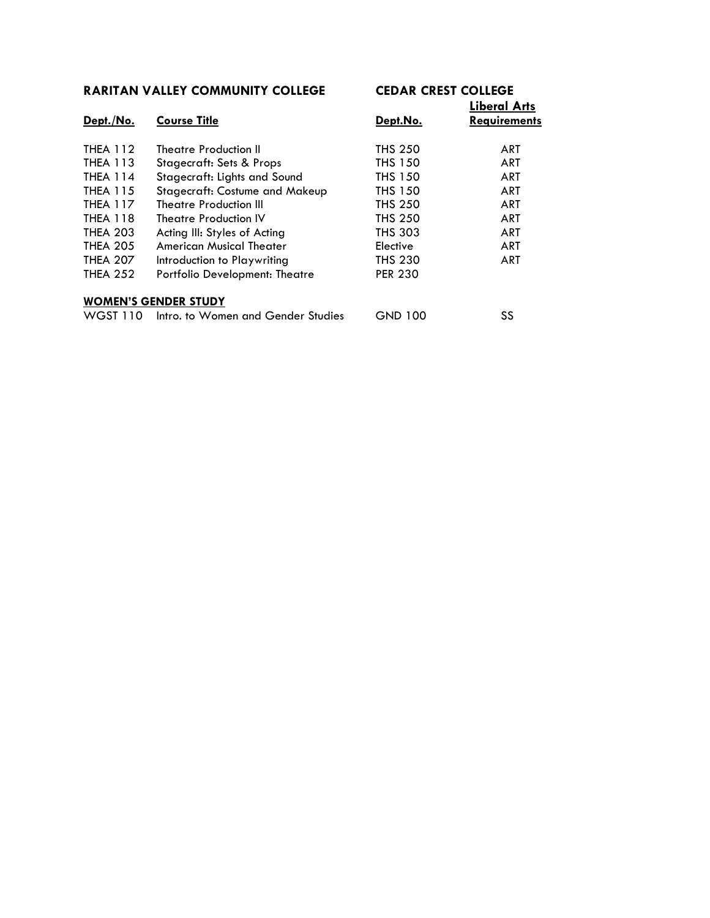| Dept./No.       | <b>Course Title</b>                 | Dept.No.       | FINGIAI WIIS<br><b>Requirements</b> |
|-----------------|-------------------------------------|----------------|-------------------------------------|
|                 |                                     |                |                                     |
| <b>THEA 112</b> | <b>Theatre Production II</b>        | <b>THS 250</b> | ART                                 |
| <b>THEA 113</b> | <b>Stagecraft: Sets &amp; Props</b> | <b>THS 150</b> | <b>ART</b>                          |
| <b>THEA 114</b> | Stagecraft: Lights and Sound        | <b>THS 150</b> | ART                                 |
| <b>THEA 115</b> | Stagecraft: Costume and Makeup      | <b>THS 150</b> | <b>ART</b>                          |
| <b>THEA 117</b> | <b>Theatre Production III</b>       | <b>THS 250</b> | ART                                 |
| <b>THEA 118</b> | <b>Theatre Production IV</b>        | <b>THS 250</b> | ART                                 |
| <b>THEA 203</b> | Acting III: Styles of Acting        | <b>THS 303</b> | <b>ART</b>                          |
| <b>THEA 205</b> | <b>American Musical Theater</b>     | Elective       | ART                                 |
| <b>THEA 207</b> | Introduction to Playwriting         | <b>THS 230</b> | <b>ART</b>                          |
| <b>THEA 252</b> | Portfolio Development: Theatre      | <b>PER 230</b> |                                     |
|                 |                                     |                |                                     |
|                 | <b>WOMEN'S GENDER STUDY</b>         |                |                                     |
| WGST 110        | Intro, to Women and Gender Studies  | <b>GND 100</b> | SS                                  |